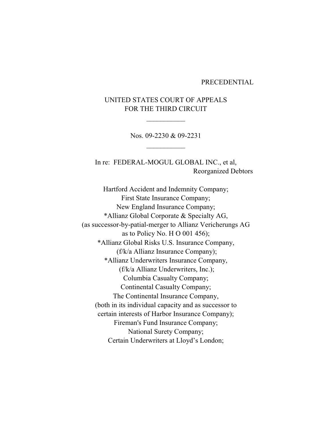### PRECEDENTIAL

# UNITED STATES COURT OF APPEALS FOR THE THIRD CIRCUIT

 $\frac{1}{2}$ 

Nos. 09-2230 & 09-2231  $\frac{1}{2}$ 

In re: FEDERAL-MOGUL GLOBAL INC., et al, Reorganized Debtors

Hartford Accident and Indemnity Company; First State Insurance Company; New England Insurance Company; \*Allianz Global Corporate & Specialty AG, (as successor-by-patial-merger to Allianz Vericherungs AG as to Policy No. H O 001 456); \*Allianz Global Risks U.S. Insurance Company, (f/k/a Allianz Insurance Company); \*Allianz Underwriters Insurance Company, (f/k/a Allianz Underwriters, Inc.); Columbia Casualty Company; Continental Casualty Company; The Continental Insurance Company, (both in its individual capacity and as successor to certain interests of Harbor Insurance Company); Fireman's Fund Insurance Company; National Surety Company; Certain Underwriters at Lloyd's London;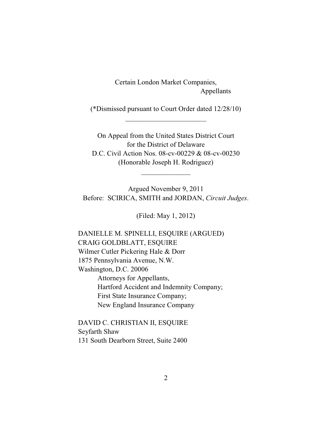Certain London Market Companies, Appellants

(\*Dismissed pursuant to Court Order dated 12/28/10)  $\overline{\phantom{a}}$  , where  $\overline{\phantom{a}}$  , where  $\overline{\phantom{a}}$  , where  $\overline{\phantom{a}}$ 

On Appeal from the United States District Court for the District of Delaware D.C. Civil Action Nos. 08-cv-00229 & 08-cv-00230 (Honorable Joseph H. Rodriguez)

 $\overline{\phantom{a}}$  , where  $\overline{\phantom{a}}$ 

Argued November 9, 2011 Before: SCIRICA, SMITH and JORDAN, *Circuit Judges*.

(Filed: May 1, 2012)

DANIELLE M. SPINELLI, ESQUIRE (ARGUED) CRAIG GOLDBLATT, ESQUIRE Wilmer Cutler Pickering Hale & Dorr 1875 Pennsylvania Avenue, N.W. Washington, D.C. 20006 Attorneys for Appellants, Hartford Accident and Indemnity Company; First State Insurance Company; New England Insurance Company

DAVID C. CHRISTIAN II, ESQUIRE Seyfarth Shaw 131 South Dearborn Street, Suite 2400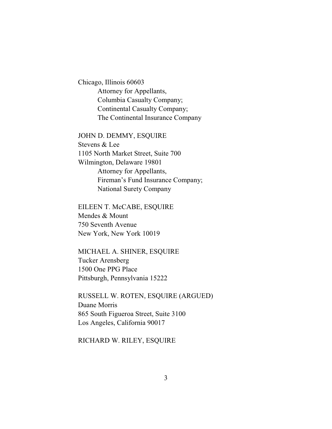Chicago, Illinois 60603 Attorney for Appellants, Columbia Casualty Company; Continental Casualty Company; The Continental Insurance Company

JOHN D. DEMMY, ESQUIRE

Stevens & Lee 1105 North Market Street, Suite 700 Wilmington, Delaware 19801 Attorney for Appellants, Fireman's Fund Insurance Company; National Surety Company

EILEEN T. McCABE, ESQUIRE Mendes & Mount 750 Seventh Avenue New York, New York 10019

MICHAEL A. SHINER, ESQUIRE Tucker Arensberg 1500 One PPG Place Pittsburgh, Pennsylvania 15222

RUSSELL W. ROTEN, ESQUIRE (ARGUED) Duane Morris 865 South Figueroa Street, Suite 3100 Los Angeles, California 90017

RICHARD W. RILEY, ESQUIRE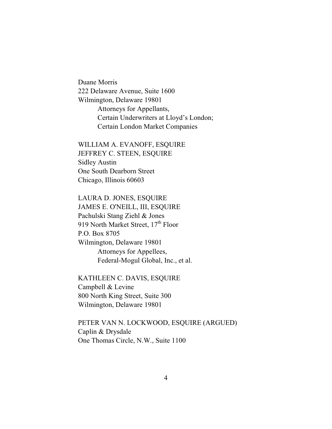Duane Morris 222 Delaware Avenue, Suite 1600 Wilmington, Delaware 19801 Attorneys for Appellants, Certain Underwriters at Lloyd's London; Certain London Market Companies

WILLIAM A. EVANOFF, ESQUIRE JEFFREY C. STEEN, ESQUIRE Sidley Austin One South Dearborn Street Chicago, Illinois 60603

LAURA D. JONES, ESQUIRE JAMES E. O'NEILL, III, ESQUIRE Pachulski Stang Ziehl & Jones 919 North Market Street,  $17<sup>th</sup>$  Floor P.O. Box 8705 Wilmington, Delaware 19801 Attorneys for Appellees, Federal-Mogul Global, Inc., et al.

KATHLEEN C. DAVIS, ESQUIRE Campbell & Levine 800 North King Street, Suite 300 Wilmington, Delaware 19801

PETER VAN N. LOCKWOOD, ESQUIRE (ARGUED) Caplin & Drysdale One Thomas Circle, N.W., Suite 1100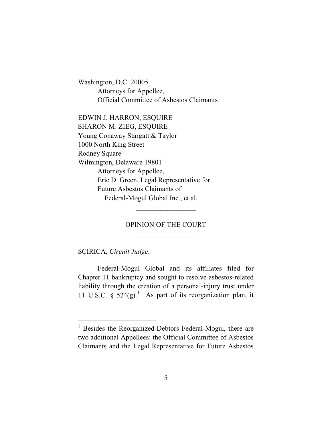Washington, D.C. 20005 Attorneys for Appellee, Official Committee of Asbestos Claimants

EDWIN J. HARRON, ESQUIRE SHARON M. ZIEG, ESQUIRE Young Conaway Stargatt & Taylor 1000 North King Street Rodney Square Wilmington, Delaware 19801 Attorneys for Appellee, Eric D. Green, Legal Representative for Future Asbestos Claimants of Federal-Mogul Global Inc., et al.

# OPINION OF THE COURT  $\frac{1}{2}$

 $\frac{1}{2}$ 

SCIRICA, *Circuit Judge*.

Federal-Mogul Global and its affiliates filed for Chapter 11 bankruptcy and sought to resolve asbestos-related liability through the creation of a personal-injury trust under 11 U.S.C. §  $524(g)$ .<sup>1</sup> As part of its reorganization plan, it

 $1$  Besides the Reorganized-Debtors Federal-Mogul, there are two additional Appellees: the Official Committee of Asbestos Claimants and the Legal Representative for Future Asbestos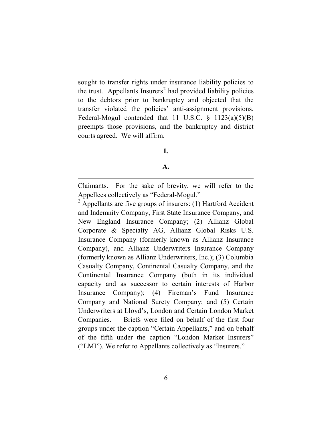sought to transfer rights under insurance liability policies to the trust. Appellants  $In\: <sup>2</sup>$  had provided liability policies to the debtors prior to bankruptcy and objected that the transfer violated the policies' anti-assignment provisions. Federal-Mogul contended that 11 U.S.C.  $\S$  1123(a)(5)(B) preempts those provisions, and the bankruptcy and district courts agreed. We will affirm.

## **I.**

#### **A.**

Claimants. For the sake of brevity, we will refer to the Appellees collectively as "Federal-Mogul."

 $2$  Appellants are five groups of insurers: (1) Hartford Accident and Indemnity Company, First State Insurance Company, and New England Insurance Company; (2) Allianz Global Corporate & Specialty AG, Allianz Global Risks U.S. Insurance Company (formerly known as Allianz Insurance Company), and Allianz Underwriters Insurance Company (formerly known as Allianz Underwriters, Inc.); (3) Columbia Casualty Company, Continental Casualty Company, and the Continental Insurance Company (both in its individual capacity and as successor to certain interests of Harbor Insurance Company); (4) Fireman's Fund Insurance Company and National Surety Company; and (5) Certain Underwriters at Lloyd's, London and Certain London Market Companies. Briefs were filed on behalf of the first four groups under the caption "Certain Appellants," and on behalf of the fifth under the caption "London Market Insurers" ("LMI"). We refer to Appellants collectively as "Insurers."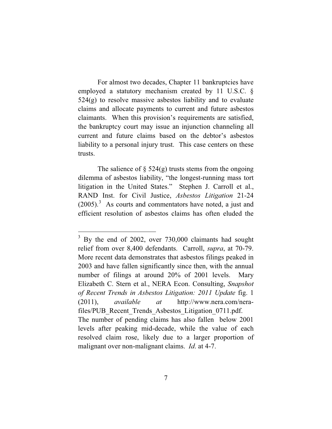For almost two decades, Chapter 11 bankruptcies have employed a statutory mechanism created by 11 U.S.C. § 524(g) to resolve massive asbestos liability and to evaluate claims and allocate payments to current and future asbestos claimants. When this provision's requirements are satisfied, the bankruptcy court may issue an injunction channeling all current and future claims based on the debtor's asbestos liability to a personal injury trust. This case centers on these trusts.

The salience of  $\S$  524(g) trusts stems from the ongoing dilemma of asbestos liability, "the longest-running mass tort litigation in the United States." Stephen J. Carroll et al., RAND Inst. for Civil Justice, *Asbestos Litigation* 21-24  $(2005).$ <sup>3</sup> As courts and commentators have noted, a just and efficient resolution of asbestos claims has often eluded the

<sup>&</sup>lt;sup>3</sup> By the end of 2002, over 730,000 claimants had sought relief from over 8,400 defendants. Carroll, *supra*, at 70-79. More recent data demonstrates that asbestos filings peaked in 2003 and have fallen significantly since then, with the annual number of filings at around 20% of 2001 levels. Mary Elizabeth C. Stern et al., NERA Econ. Consulting, *Snapshot of Recent Trends in Asbestos Litigation: 2011 Update* fig. 1 (2011), *available at* http://www.nera.com/nerafiles/PUB\_Recent\_Trends\_Asbestos\_Litigation\_0711.pdf. The number of pending claims has also fallen below 2001 levels after peaking mid-decade, while the value of each resolved claim rose, likely due to a larger proportion of malignant over non-malignant claims. *Id*. at 4-7.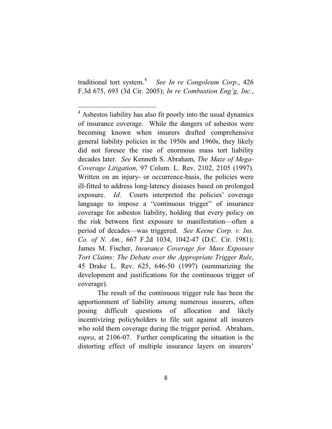traditional tort system.<sup>4</sup> *See In re Congoleum Corp*., 426 F.3d 675, 693 (3d Cir. 2005); *In re Combustion Eng'g, Inc.*,

The result of the continuous trigger rule has been the apportionment of liability among numerous insurers, often posing difficult questions of allocation and likely incentivizing policyholders to file suit against all insurers who sold them coverage during the trigger period. Abraham, *supra*, at 2106-07. Further complicating the situation is the distorting effect of multiple insurance layers on insurers'

<sup>&</sup>lt;sup>4</sup> Asbestos liability has also fit poorly into the usual dynamics of insurance coverage. While the dangers of asbestos were becoming known when insurers drafted comprehensive general liability policies in the 1950s and 1960s, they likely did not foresee the rise of enormous mass tort liability decades later. *See* Kenneth S. Abraham, *The Maze of Mega-Coverage Litigation*, 97 Colum. L. Rev. 2102, 2105 (1997). Written on an injury- or occurrence-basis, the policies were ill-fitted to address long-latency diseases based on prolonged exposure. *Id*. Courts interpreted the policies' coverage language to impose a "continuous trigger" of insurance coverage for asbestos liability, holding that every policy on the risk between first exposure to manifestation—often a period of decades—was triggered. *See Keene Corp. v. Ins. Co. of N. Am.*, 667 F.2d 1034, 1042-47 (D.C. Cir. 1981); James M. Fischer, *Insurance Coverage for Mass Exposure Tort Claims: The Debate over the Appropriate Trigger Rule*, 45 Drake L. Rev. 625, 646-50 (1997) (summarizing the development and justifications for the continuous trigger of coverage).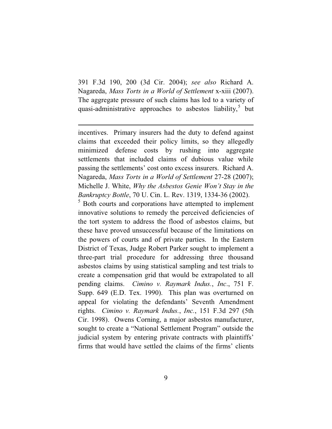391 F.3d 190, 200 (3d Cir. 2004); *see also* Richard A. Nagareda, *Mass Torts in a World of Settlement* x-xiii (2007). The aggregate pressure of such claims has led to a variety of quasi-administrative approaches to asbestos liability,<sup>5</sup> but

incentives. Primary insurers had the duty to defend against claims that exceeded their policy limits, so they allegedly minimized defense costs by rushing into aggregate settlements that included claims of dubious value while passing the settlements' cost onto excess insurers. Richard A. Nagareda, *Mass Torts in a World of Settlement* 27-28 (2007); Michelle J. White, *Why the Asbestos Genie Won't Stay in the Bankruptcy Bottle*, 70 U. Cin. L. Rev. 1319, 1334-36 (2002). <sup>5</sup> Both courts and corporations have attempted to implement innovative solutions to remedy the perceived deficiencies of the tort system to address the flood of asbestos claims, but these have proved unsuccessful because of the limitations on the powers of courts and of private parties. In the Eastern District of Texas, Judge Robert Parker sought to implement a three-part trial procedure for addressing three thousand asbestos claims by using statistical sampling and test trials to create a compensation grid that would be extrapolated to all pending claims. *Cimino v. Raymark Indus.*, *Inc*., 751 F. Supp. 649 (E.D. Tex. 1990). This plan was overturned on appeal for violating the defendants' Seventh Amendment rights. *Cimino v. Raymark Indus.*, *Inc.*, 151 F.3d 297 (5th Cir. 1998). Owens Corning, a major asbestos manufacturer, sought to create a "National Settlement Program" outside the judicial system by entering private contracts with plaintiffs' firms that would have settled the claims of the firms' clients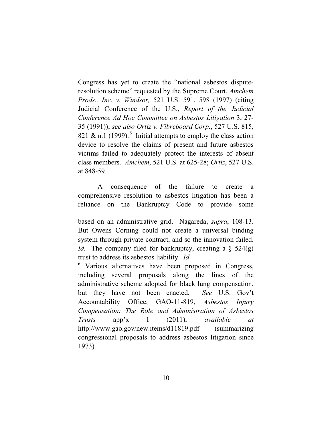Congress has yet to create the "national asbestos disputeresolution scheme" requested by the Supreme Court, *Amchem Prods., Inc. v. Windsor,* 521 U.S. 591, 598 (1997) (citing Judicial Conference of the U.S., *Report of the Judicial Conference Ad Hoc Committee on Asbestos Litigation* 3, 27- 35 (1991)); *see also Ortiz v. Fibreboard Corp.*, 527 U.S. 815, 821 & n.1 (1999).<sup>6</sup> Initial attempts to employ the class action device to resolve the claims of present and future asbestos victims failed to adequately protect the interests of absent class members. *Amchem*, 521 U.S. at 625-28; *Ortiz*, 527 U.S. at 848-59.

A consequence of the failure to create a comprehensive resolution to asbestos litigation has been a reliance on the Bankruptcy Code to provide some

based on an administrative grid. Nagareda, *supra*, 108-13. But Owens Corning could not create a universal binding system through private contract, and so the innovation failed. *Id.* The company filed for bankruptcy, creating a  $\S$  524(g) trust to address its asbestos liability. *Id*.

<sup>6</sup> Various alternatives have been proposed in Congress, including several proposals along the lines of the administrative scheme adopted for black lung compensation, but they have not been enacted. *See* U.S. Gov't Accountability Office, GAO-11-819, *Asbestos Injury Compensation: The Role and Administration of Asbestos Trusts* app'x I (2011), *available at*  http://www.gao.gov/new.items/d11819.pdf (summarizing congressional proposals to address asbestos litigation since 1973).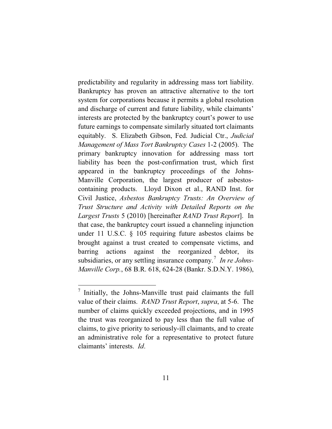predictability and regularity in addressing mass tort liability. Bankruptcy has proven an attractive alternative to the tort system for corporations because it permits a global resolution and discharge of current and future liability, while claimants' interests are protected by the bankruptcy court's power to use future earnings to compensate similarly situated tort claimants equitably. S. Elizabeth Gibson, Fed. Judicial Ctr., *Judicial Management of Mass Tort Bankruptcy Cases* 1-2 (2005). The primary bankruptcy innovation for addressing mass tort liability has been the post-confirmation trust, which first appeared in the bankruptcy proceedings of the Johns-Manville Corporation, the largest producer of asbestoscontaining products. Lloyd Dixon et al., RAND Inst. for Civil Justice, *Asbestos Bankruptcy Trusts: An Overview of Trust Structure and Activity with Detailed Reports on the Largest Trusts* 5 (2010) [hereinafter *RAND Trust Report*]. In that case, the bankruptcy court issued a channeling injunction under 11 U.S.C. § 105 requiring future asbestos claims be brought against a trust created to compensate victims, and barring actions against the reorganized debtor, its subsidiaries, or any settling insurance company.<sup>7</sup> In re Johns-*Manville Corp.*, 68 B.R. 618, 624-28 (Bankr. S.D.N.Y. 1986),

 $\frac{7}{7}$  Initially, the Johns-Manville trust paid claimants the full value of their claims. *RAND Trust Report*, *supra*, at 5-6. The number of claims quickly exceeded projections, and in 1995 the trust was reorganized to pay less than the full value of claims, to give priority to seriously-ill claimants, and to create an administrative role for a representative to protect future claimants' interests. *Id*.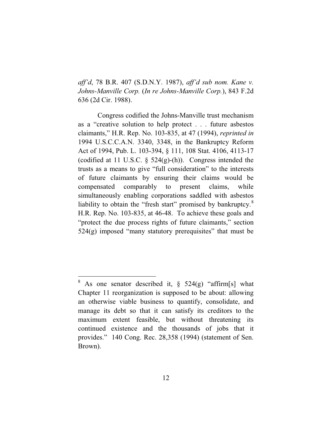*aff'd*, 78 B.R. 407 (S.D.N.Y. 1987), *aff'd sub nom. Kane v. Johns-Manville Corp.* (*In re Johns-Manville Corp.*), 843 F.2d 636 (2d Cir. 1988).

Congress codified the Johns-Manville trust mechanism as a "creative solution to help protect . . . future asbestos claimants," H.R. Rep. No. 103-835, at 47 (1994), *reprinted in*  1994 U.S.C.C.A.N. 3340, 3348, in the Bankruptcy Reform Act of 1994, Pub. L. 103-394, § 111, 108 Stat. 4106, 4113-17 (codified at 11 U.S.C. § 524(g)-(h)). Congress intended the trusts as a means to give "full consideration" to the interests of future claimants by ensuring their claims would be compensated comparably to present claims, while simultaneously enabling corporations saddled with asbestos liability to obtain the "fresh start" promised by bankruptcy.<sup>8</sup> H.R. Rep. No. 103-835, at 46-48. To achieve these goals and "protect the due process rights of future claimants," section  $524(g)$  imposed "many statutory prerequisites" that must be

<sup>&</sup>lt;sup>8</sup> As one senator described it,  $\S$  524(g) "affirm[s] what Chapter 11 reorganization is supposed to be about: allowing an otherwise viable business to quantify, consolidate, and manage its debt so that it can satisfy its creditors to the maximum extent feasible, but without threatening its continued existence and the thousands of jobs that it provides." 140 Cong. Rec. 28,358 (1994) (statement of Sen. Brown).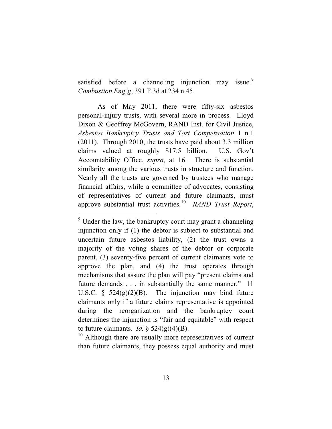satisfied before a channeling injunction may issue.<sup>9</sup> *Combustion Eng'g*, 391 F.3d at 234 n.45.

As of May 2011, there were fifty-six asbestos personal-injury trusts, with several more in process. Lloyd Dixon & Geoffrey McGovern, RAND Inst. for Civil Justice, *Asbestos Bankruptcy Trusts and Tort Compensation* 1 n.1 (2011). Through 2010, the trusts have paid about 3.3 million claims valued at roughly \$17.5 billion. U.S. Gov't Accountability Office, *supra*, at 16. There is substantial similarity among the various trusts in structure and function. Nearly all the trusts are governed by trustees who manage financial affairs, while a committee of advocates, consisting of representatives of current and future claimants, must approve substantial trust activities. 10 *RAND Trust Report*,

 $10$  Although there are usually more representatives of current than future claimants, they possess equal authority and must

 $9$  Under the law, the bankruptcy court may grant a channeling injunction only if (1) the debtor is subject to substantial and uncertain future asbestos liability, (2) the trust owns a majority of the voting shares of the debtor or corporate parent, (3) seventy-five percent of current claimants vote to approve the plan, and (4) the trust operates through mechanisms that assure the plan will pay "present claims and future demands . . . in substantially the same manner." 11 U.S.C.  $\frac{1}{2}$  524(g)(2)(B). The injunction may bind future claimants only if a future claims representative is appointed during the reorganization and the bankruptcy court determines the injunction is "fair and equitable" with respect to future claimants. *Id.*  $\S$  524(g)(4)(B).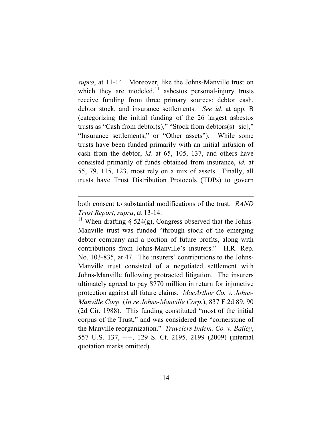*supra*, at 11-14. Moreover, like the Johns-Manville trust on which they are modeled,  $11$  asbestos personal-injury trusts receive funding from three primary sources: debtor cash, debtor stock, and insurance settlements. *See id.* at app. B (categorizing the initial funding of the 26 largest asbestos trusts as "Cash from debtor(s)," "Stock from debtors(s) [sic]," "Insurance settlements," or "Other assets"). While some trusts have been funded primarily with an initial infusion of cash from the debtor, *id.* at 65, 105, 137, and others have consisted primarily of funds obtained from insurance, *id.* at 55, 79, 115, 123, most rely on a mix of assets. Finally, all trusts have Trust Distribution Protocols (TDPs) to govern

<sup>11</sup> When drafting § 524(g), Congress observed that the Johns-Manville trust was funded "through stock of the emerging debtor company and a portion of future profits, along with contributions from Johns-Manville's insurers." H.R. Rep. No. 103-835, at 47. The insurers' contributions to the Johns-Manville trust consisted of a negotiated settlement with Johns-Manville following protracted litigation. The insurers ultimately agreed to pay \$770 million in return for injunctive protection against all future claims. *MacArthur Co. v. Johns-Manville Corp.* (*In re Johns-Manville Corp.*), 837 F.2d 89, 90 (2d Cir. 1988). This funding constituted "most of the initial corpus of the Trust," and was considered the "cornerstone of the Manville reorganization." *Travelers Indem. Co. v. Bailey*, 557 U.S. 137, ----, 129 S. Ct. 2195, 2199 (2009) (internal quotation marks omitted).

both consent to substantial modifications of the trust. *RAND Trust Report*, *supra*, at 13-14.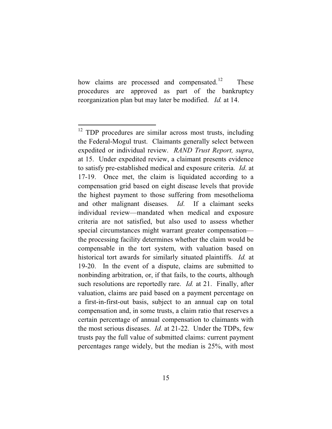how claims are processed and compensated.<sup>12</sup> These procedures are approved as part of the bankruptcy reorganization plan but may later be modified. *Id.* at 14.

<sup>&</sup>lt;sup>12</sup> TDP procedures are similar across most trusts, including the Federal-Mogul trust. Claimants generally select between expedited or individual review. *RAND Trust Report, supra*, at 15. Under expedited review, a claimant presents evidence to satisfy pre-established medical and exposure criteria. *Id*. at 17-19. Once met, the claim is liquidated according to a compensation grid based on eight disease levels that provide the highest payment to those suffering from mesothelioma and other malignant diseases. *Id*. If a claimant seeks individual review—mandated when medical and exposure criteria are not satisfied, but also used to assess whether special circumstances might warrant greater compensation the processing facility determines whether the claim would be compensable in the tort system, with valuation based on historical tort awards for similarly situated plaintiffs. *Id.* at 19-20. In the event of a dispute, claims are submitted to nonbinding arbitration, or, if that fails, to the courts, although such resolutions are reportedly rare. *Id.* at 21. Finally, after valuation, claims are paid based on a payment percentage on a first-in-first-out basis, subject to an annual cap on total compensation and, in some trusts, a claim ratio that reserves a certain percentage of annual compensation to claimants with the most serious diseases. *Id.* at 21-22. Under the TDPs, few trusts pay the full value of submitted claims: current payment percentages range widely, but the median is 25%, with most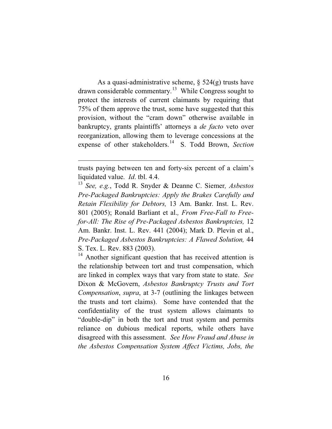As a quasi-administrative scheme, § 524(g) trusts have drawn considerable commentary.<sup>13</sup> While Congress sought to protect the interests of current claimants by requiring that 75% of them approve the trust, some have suggested that this provision, without the "cram down" otherwise available in bankruptcy, grants plaintiffs' attorneys a *de facto* veto over reorganization, allowing them to leverage concessions at the expense of other stakeholders.<sup>14</sup> S. Todd Brown, Section

 $14$  Another significant question that has received attention is the relationship between tort and trust compensation, which are linked in complex ways that vary from state to state. *See*  Dixon & McGovern, *Asbestos Bankruptcy Trusts and Tort Compensation*, *supra*, at 3-7 (outlining the linkages between the trusts and tort claims). Some have contended that the confidentiality of the trust system allows claimants to "double-dip" in both the tort and trust system and permits reliance on dubious medical reports, while others have disagreed with this assessment. *See How Fraud and Abuse in the Asbestos Compensation System Affect Victims, Jobs, the* 

trusts paying between ten and forty-six percent of a claim's liquidated value. *Id*. tbl. 4.4.

<sup>13</sup> *See, e.g.*, Todd R. Snyder & Deanne C. Siemer*, Asbestos Pre-Packaged Bankruptcies: Apply the Brakes Carefully and Retain Flexibility for Debtors,* 13 Am. Bankr. Inst. L. Rev. 801 (2005); Ronald Barliant et al.*, From Free-Fall to Freefor-All: The Rise of Pre-Packaged Asbestos Bankruptcies,* 12 Am. Bankr. Inst. L. Rev. 441 (2004); Mark D. Plevin et al., *Pre-Packaged Asbestos Bankruptcies: A Flawed Solution,* 44 S. Tex. L. Rev. 883 (2003).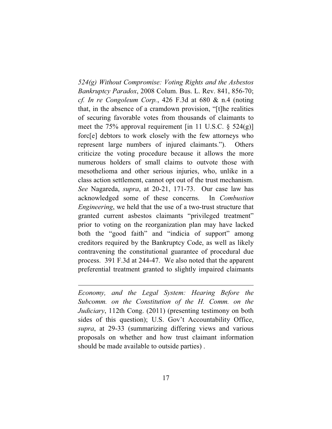*524(g) Without Compromise: Voting Rights and the Asbestos Bankruptcy Paradox*, 2008 Colum. Bus. L. Rev. 841, 856-70; *cf. In re Congoleum Corp.*, 426 F.3d at 680 & n.4 (noting that, in the absence of a cramdown provision, "[t]he realities of securing favorable votes from thousands of claimants to meet the 75% approval requirement [in 11 U.S.C.  $\S$  524(g)] forc[e] debtors to work closely with the few attorneys who represent large numbers of injured claimants."). Others criticize the voting procedure because it allows the more numerous holders of small claims to outvote those with mesothelioma and other serious injuries, who, unlike in a class action settlement, cannot opt out of the trust mechanism. *See* Nagareda, *supra*, at 20-21, 171-73. Our case law has acknowledged some of these concerns. In *Combustion Engineering*, we held that the use of a two-trust structure that granted current asbestos claimants "privileged treatment" prior to voting on the reorganization plan may have lacked both the "good faith" and "indicia of support" among creditors required by the Bankruptcy Code, as well as likely contravening the constitutional guarantee of procedural due process. 391 F.3d at 244-47. We also noted that the apparent preferential treatment granted to slightly impaired claimants

*Economy, and the Legal System: Hearing Before the Subcomm. on the Constitution of the H. Comm. on the Judiciary*, 112th Cong. (2011) (presenting testimony on both sides of this question); U.S. Gov't Accountability Office, *supra*, at 29-33 (summarizing differing views and various proposals on whether and how trust claimant information should be made available to outside parties) .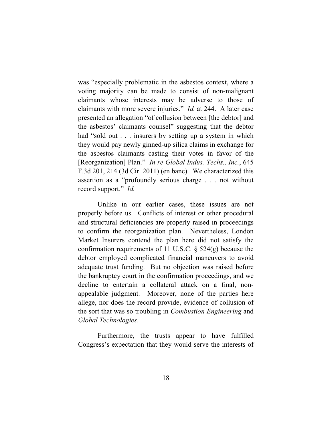was "especially problematic in the asbestos context, where a voting majority can be made to consist of non-malignant claimants whose interests may be adverse to those of claimants with more severe injuries." *Id.* at 244. A later case presented an allegation "of collusion between [the debtor] and the asbestos' claimants counsel" suggesting that the debtor had "sold out . . . insurers by setting up a system in which they would pay newly ginned-up silica claims in exchange for the asbestos claimants casting their votes in favor of the [Reorganization] Plan." *In re Global Indus. Techs., Inc.*, 645 F.3d 201, 214 (3d Cir. 2011) (en banc). We characterized this assertion as a "profoundly serious charge . . . not without record support." *Id.* 

Unlike in our earlier cases, these issues are not properly before us. Conflicts of interest or other procedural and structural deficiencies are properly raised in proceedings to confirm the reorganization plan. Nevertheless, London Market Insurers contend the plan here did not satisfy the confirmation requirements of 11 U.S.C. § 524(g) because the debtor employed complicated financial maneuvers to avoid adequate trust funding. But no objection was raised before the bankruptcy court in the confirmation proceedings, and we decline to entertain a collateral attack on a final, nonappealable judgment. Moreover, none of the parties here allege, nor does the record provide, evidence of collusion of the sort that was so troubling in *Combustion Engineering* and *Global Technologies*.

Furthermore, the trusts appear to have fulfilled Congress's expectation that they would serve the interests of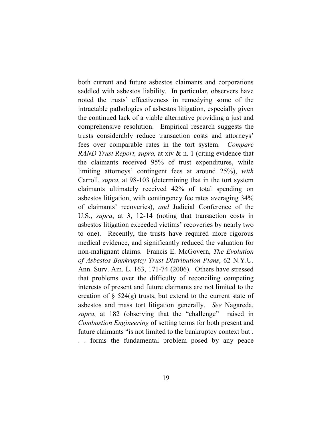both current and future asbestos claimants and corporations saddled with asbestos liability. In particular, observers have noted the trusts' effectiveness in remedying some of the intractable pathologies of asbestos litigation, especially given the continued lack of a viable alternative providing a just and comprehensive resolution. Empirical research suggests the trusts considerably reduce transaction costs and attorneys' fees over comparable rates in the tort system. *Compare RAND Trust Report, supra,* at xiv & n. 1 (citing evidence that the claimants received 95% of trust expenditures, while limiting attorneys' contingent fees at around 25%), *with*  Carroll, *supra*, at 98-103 (determining that in the tort system claimants ultimately received 42% of total spending on asbestos litigation, with contingency fee rates averaging 34% of claimants' recoveries), *and* Judicial Conference of the U.S., *supra*, at 3, 12-14 (noting that transaction costs in asbestos litigation exceeded victims' recoveries by nearly two to one). Recently, the trusts have required more rigorous medical evidence, and significantly reduced the valuation for non-malignant claims. Francis E. McGovern, *The Evolution of Asbestos Bankruptcy Trust Distribution Plans*, 62 N.Y.U. Ann. Surv. Am. L. 163, 171-74 (2006). Others have stressed that problems over the difficulty of reconciling competing interests of present and future claimants are not limited to the creation of  $\S$  524(g) trusts, but extend to the current state of asbestos and mass tort litigation generally. *See* Nagareda, *supra*, at 182 (observing that the "challenge" raised in *Combustion Engineering* of setting terms for both present and future claimants "is not limited to the bankruptcy context but . . . forms the fundamental problem posed by any peace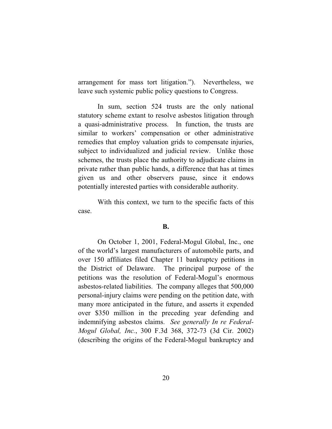arrangement for mass tort litigation."). Nevertheless, we leave such systemic public policy questions to Congress.

In sum, section 524 trusts are the only national statutory scheme extant to resolve asbestos litigation through a quasi-administrative process. In function, the trusts are similar to workers' compensation or other administrative remedies that employ valuation grids to compensate injuries, subject to individualized and judicial review. Unlike those schemes, the trusts place the authority to adjudicate claims in private rather than public hands, a difference that has at times given us and other observers pause, since it endows potentially interested parties with considerable authority.

With this context, we turn to the specific facts of this case.

### **B.**

On October 1, 2001, Federal-Mogul Global, Inc., one of the world's largest manufacturers of automobile parts, and over 150 affiliates filed Chapter 11 bankruptcy petitions in the District of Delaware. The principal purpose of the petitions was the resolution of Federal-Mogul's enormous asbestos-related liabilities. The company alleges that 500,000 personal-injury claims were pending on the petition date, with many more anticipated in the future, and asserts it expended over \$350 million in the preceding year defending and indemnifying asbestos claims. *See generally In re Federal-Mogul Global, Inc.*, 300 F.3d 368, 372-73 (3d Cir. 2002) (describing the origins of the Federal-Mogul bankruptcy and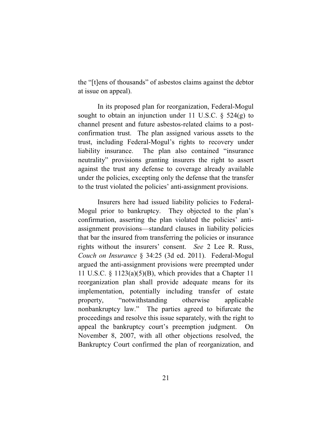the "[t]ens of thousands" of asbestos claims against the debtor at issue on appeal).

In its proposed plan for reorganization, Federal-Mogul sought to obtain an injunction under 11 U.S.C.  $\S$  524(g) to channel present and future asbestos-related claims to a postconfirmation trust. The plan assigned various assets to the trust, including Federal-Mogul's rights to recovery under liability insurance. The plan also contained "insurance neutrality" provisions granting insurers the right to assert against the trust any defense to coverage already available under the policies, excepting only the defense that the transfer to the trust violated the policies' anti-assignment provisions.

Insurers here had issued liability policies to Federal-Mogul prior to bankruptcy. They objected to the plan's confirmation, asserting the plan violated the policies' antiassignment provisions—standard clauses in liability policies that bar the insured from transferring the policies or insurance rights without the insurers' consent. *See* 2 Lee R. Russ, *Couch on Insurance* § 34:25 (3d ed. 2011). Federal-Mogul argued the anti-assignment provisions were preempted under 11 U.S.C.  $\S$  1123(a)(5)(B), which provides that a Chapter 11 reorganization plan shall provide adequate means for its implementation, potentially including transfer of estate property, "notwithstanding otherwise applicable nonbankruptcy law." The parties agreed to bifurcate the proceedings and resolve this issue separately, with the right to appeal the bankruptcy court's preemption judgment. On November 8, 2007, with all other objections resolved, the Bankruptcy Court confirmed the plan of reorganization, and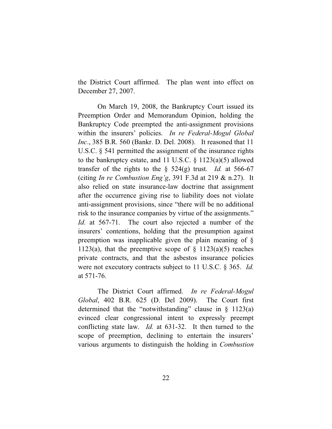the District Court affirmed. The plan went into effect on December 27, 2007.

On March 19, 2008, the Bankruptcy Court issued its Preemption Order and Memorandum Opinion, holding the Bankruptcy Code preempted the anti-assignment provisions within the insurers' policies. *In re Federal-Mogul Global Inc*., 385 B.R. 560 (Bankr. D. Del. 2008). It reasoned that 11 U.S.C. § 541 permitted the assignment of the insurance rights to the bankruptcy estate, and 11 U.S.C. § 1123(a)(5) allowed transfer of the rights to the  $\S$  524(g) trust. *Id.* at 566-67 (citing *In re Combustion Eng'g*, 391 F.3d at 219 & n.27). It also relied on state insurance-law doctrine that assignment after the occurrence giving rise to liability does not violate anti-assignment provisions, since "there will be no additional risk to the insurance companies by virtue of the assignments." *Id*. at 567-71. The court also rejected a number of the insurers' contentions, holding that the presumption against preemption was inapplicable given the plain meaning of § 1123(a), that the preemptive scope of  $\S$  1123(a)(5) reaches private contracts, and that the asbestos insurance policies were not executory contracts subject to 11 U.S.C. § 365. *Id.* at 571-76.

The District Court affirmed. *In re Federal-Mogul Global*, 402 B.R. 625 (D. Del 2009). The Court first determined that the "notwithstanding" clause in  $\S$  1123(a) evinced clear congressional intent to expressly preempt conflicting state law. *Id.* at 631-32. It then turned to the scope of preemption, declining to entertain the insurers' various arguments to distinguish the holding in *Combustion*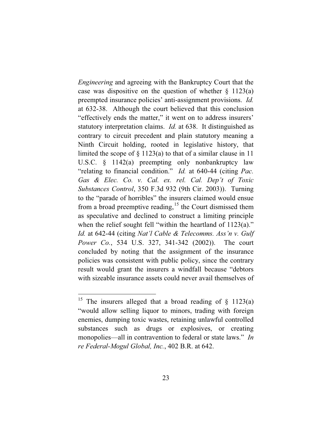*Engineering* and agreeing with the Bankruptcy Court that the case was dispositive on the question of whether  $\S$  1123(a) preempted insurance policies' anti-assignment provisions. *Id.*  at 632-38. Although the court believed that this conclusion "effectively ends the matter," it went on to address insurers' statutory interpretation claims. *Id.* at 638. It distinguished as contrary to circuit precedent and plain statutory meaning a Ninth Circuit holding, rooted in legislative history, that limited the scope of  $\S 1123(a)$  to that of a similar clause in 11 U.S.C. § 1142(a) preempting only nonbankruptcy law "relating to financial condition." *Id.* at 640-44 (citing *Pac. Gas & Elec. Co. v. Cal. ex. rel. Cal. Dep't of Toxic Substances Control*, 350 F.3d 932 (9th Cir. 2003)). Turning to the "parade of horribles" the insurers claimed would ensue from a broad preemptive reading,<sup>15</sup> the Court dismissed them as speculative and declined to construct a limiting principle when the relief sought fell "within the heartland of 1123(a)." *Id.* at 642-44 (citing *Nat'l Cable & Telecomms. Ass'n v. Gulf Power Co.*, 534 U.S. 327, 341-342 (2002)). The court concluded by noting that the assignment of the insurance policies was consistent with public policy, since the contrary result would grant the insurers a windfall because "debtors with sizeable insurance assets could never avail themselves of

<sup>&</sup>lt;sup>15</sup> The insurers alleged that a broad reading of  $\S$  1123(a) "would allow selling liquor to minors, trading with foreign enemies, dumping toxic wastes, retaining unlawful controlled substances such as drugs or explosives, or creating monopolies—all in contravention to federal or state laws." *In re Federal-Mogul Global, Inc.*, 402 B.R. at 642.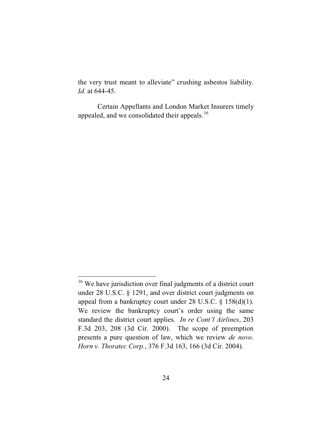the very trust meant to alleviate" crushing asbestos liability. *Id.* at 644-45.

Certain Appellants and London Market Insurers timely appealed, and we consolidated their appeals.<sup>16</sup>

<sup>&</sup>lt;sup>16</sup> We have jurisdiction over final judgments of a district court under 28 U.S.C. § 1291, and over district court judgments on appeal from a bankruptcy court under 28 U.S.C. § 158(d)(1). We review the bankruptcy court's order using the same standard the district court applies. *In re Cont'l Airlines*, 203 F.3d 203, 208 (3d Cir. 2000). The scope of preemption presents a pure question of law, which we review *de novo*. *Horn v. Thoratec Corp.*, 376 F.3d 163, 166 (3d Cir. 2004).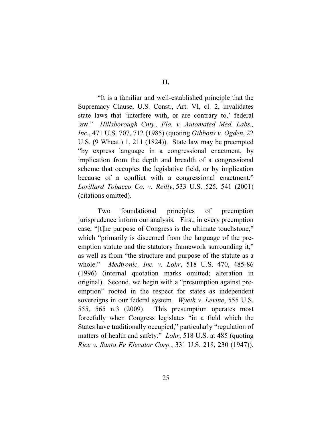"It is a familiar and well-established principle that the Supremacy Clause, U.S. Const., Art. VI, cl. 2, invalidates state laws that 'interfere with, or are contrary to,' federal law." *Hillsborough Cnty., Fla. v. Automated Med. Labs., Inc.*, 471 U.S. 707, 712 (1985) (quoting *Gibbons v. Ogden*, 22 U.S. (9 Wheat.) 1, 211 (1824)). State law may be preempted "by express language in a congressional enactment, by implication from the depth and breadth of a congressional scheme that occupies the legislative field, or by implication because of a conflict with a congressional enactment." *Lorillard Tobacco Co. v. Reilly*, 533 U.S. 525, 541 (2001) (citations omitted).

Two foundational principles of preemption jurisprudence inform our analysis. First, in every preemption case, "[t]he purpose of Congress is the ultimate touchstone," which "primarily is discerned from the language of the preemption statute and the statutory framework surrounding it," as well as from "the structure and purpose of the statute as a whole." *Medtronic, Inc. v. Lohr*, 518 U.S. 470, 485-86 (1996) (internal quotation marks omitted; alteration in original). Second, we begin with a "presumption against preemption" rooted in the respect for states as independent sovereigns in our federal system. *Wyeth v. Levine*, 555 U.S. 555, 565 n.3 (2009). This presumption operates most forcefully when Congress legislates "in a field which the States have traditionally occupied," particularly "regulation of matters of health and safety." *Lohr*, 518 U.S. at 485 (quoting *Rice v. Santa Fe Elevator Corp.*, 331 U.S. 218, 230 (1947)).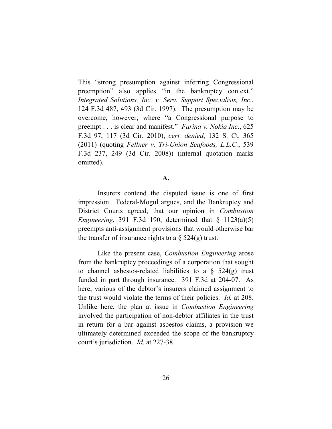This "strong presumption against inferring Congressional preemption" also applies "in the bankruptcy context." *Integrated Solutions, Inc. v. Serv. Support Specialists, Inc*., 124 F.3d 487, 493 (3d Cir. 1997). The presumption may be overcome, however, where "a Congressional purpose to preempt . . . is clear and manifest." *Farina v. Nokia Inc*., 625 F.3d 97, 117 (3d Cir. 2010), *cert. denied*, 132 S. Ct. 365 (2011) (quoting *Fellner v. Tri-Union Seafoods, L.L.C.*, 539 F.3d 237, 249 (3d Cir. 2008)) (internal quotation marks omitted).

## **A.**

Insurers contend the disputed issue is one of first impression. Federal-Mogul argues, and the Bankruptcy and District Courts agreed, that our opinion in *Combustion Engineering*, 391 F.3d 190, determined that § 1123(a)(5) preempts anti-assignment provisions that would otherwise bar the transfer of insurance rights to a  $\S$  524(g) trust.

Like the present case, *Combustion Engineering* arose from the bankruptcy proceedings of a corporation that sought to channel asbestos-related liabilities to a  $\S$  524(g) trust funded in part through insurance. 391 F.3d at 204-07. As here, various of the debtor's insurers claimed assignment to the trust would violate the terms of their policies. *Id.* at 208. Unlike here, the plan at issue in *Combustion Engineering* involved the participation of non-debtor affiliates in the trust in return for a bar against asbestos claims, a provision we ultimately determined exceeded the scope of the bankruptcy court's jurisdiction. *Id*. at 227-38.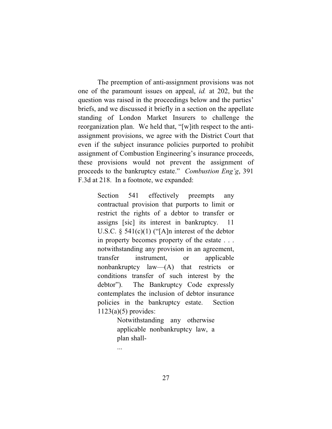The preemption of anti-assignment provisions was not one of the paramount issues on appeal, *id.* at 202, but the question was raised in the proceedings below and the parties' briefs, and we discussed it briefly in a section on the appellate standing of London Market Insurers to challenge the reorganization plan. We held that, "[w]ith respect to the antiassignment provisions, we agree with the District Court that even if the subject insurance policies purported to prohibit assignment of Combustion Engineering's insurance proceeds, these provisions would not prevent the assignment of proceeds to the bankruptcy estate." *Combustion Eng'g*, 391 F.3d at 218. In a footnote, we expanded:

> Section 541 effectively preempts any contractual provision that purports to limit or restrict the rights of a debtor to transfer or assigns [sic] its interest in bankruptcy. 11 U.S.C.  $\S$  541(c)(1) ("[A]n interest of the debtor in property becomes property of the estate . . . notwithstanding any provision in an agreement, transfer instrument, or applicable nonbankruptcy law—(A) that restricts or conditions transfer of such interest by the debtor"). The Bankruptcy Code expressly contemplates the inclusion of debtor insurance policies in the bankruptcy estate. Section 1123(a)(5) provides:

> > Notwithstanding any otherwise applicable nonbankruptcy law, a plan shall-

...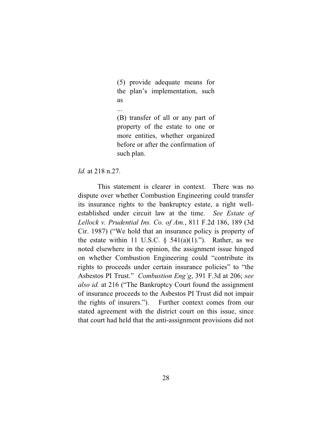(5) provide adequate means for the plan's implementation, such as

...

(B) transfer of all or any part of property of the estate to one or more entities, whether organized before or after the confirmation of such plan.

## *Id.* at 218 n.27.

This statement is clearer in context. There was no dispute over whether Combustion Engineering could transfer its insurance rights to the bankruptcy estate, a right wellestablished under circuit law at the time. *See Estate of Lellock v. Prudential Ins. Co. of Am.*, 811 F.2d 186, 189 (3d Cir. 1987) ("We hold that an insurance policy is property of the estate within 11 U.S.C.  $\S$  541(a)(1)."). Rather, as we noted elsewhere in the opinion, the assignment issue hinged on whether Combustion Engineering could "contribute its rights to proceeds under certain insurance policies" to "the Asbestos PI Trust." *Combustion Eng'g*, 391 F.3d at 206; *see also id.* at 216 ("The Bankruptcy Court found the assignment of insurance proceeds to the Asbestos PI Trust did not impair the rights of insurers."). Further context comes from our stated agreement with the district court on this issue, since that court had held that the anti-assignment provisions did not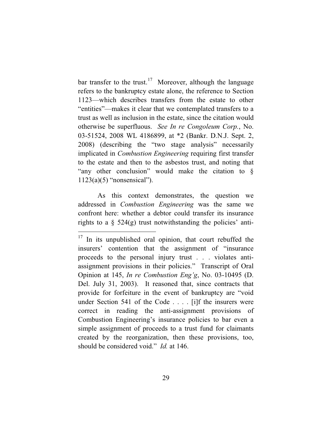bar transfer to the trust.<sup>17</sup> Moreover, although the language refers to the bankruptcy estate alone, the reference to Section 1123—which describes transfers from the estate to other "entities"—makes it clear that we contemplated transfers to a trust as well as inclusion in the estate, since the citation would otherwise be superfluous. *See In re Congoleum Corp.*, No. 03-51524, 2008 WL 4186899, at \*2 (Bankr. D.N.J. Sept. 2, 2008) (describing the "two stage analysis" necessarily implicated in *Combustion Engineering* requiring first transfer to the estate and then to the asbestos trust, and noting that "any other conclusion" would make the citation to §  $1123(a)(5)$  "nonsensical").

As this context demonstrates, the question we addressed in *Combustion Engineering* was the same we confront here: whether a debtor could transfer its insurance rights to a  $\S$  524(g) trust notwithstanding the policies' anti-

<sup>&</sup>lt;sup>17</sup> In its unpublished oral opinion, that court rebuffed the insurers' contention that the assignment of "insurance proceeds to the personal injury trust . . . violates antiassignment provisions in their policies." Transcript of Oral Opinion at 145, *In re Combustion Eng'g*, No. 03-10495 (D. Del. July 31, 2003). It reasoned that, since contracts that provide for forfeiture in the event of bankruptcy are "void under Section 541 of the Code . . . . [i]f the insurers were correct in reading the anti-assignment provisions of Combustion Engineering's insurance policies to bar even a simple assignment of proceeds to a trust fund for claimants created by the reorganization, then these provisions, too, should be considered void." *Id.* at 146.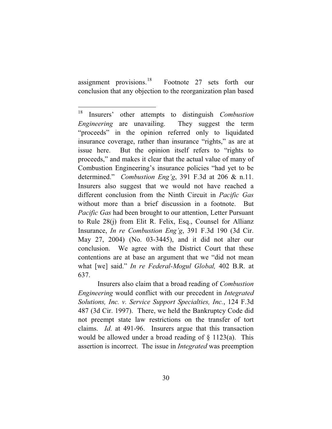assignment provisions. $^{18}$ Footnote 27 sets forth our conclusion that any objection to the reorganization plan based

Insurers also claim that a broad reading of *Combustion Engineering* would conflict with our precedent in *Integrated Solutions, Inc. v. Service Support Specialties, Inc.*, 124 F.3d 487 (3d Cir. 1997). There, we held the Bankruptcy Code did not preempt state law restrictions on the transfer of tort claims. *Id*. at 491-96. Insurers argue that this transaction would be allowed under a broad reading of  $\S$  1123(a). This assertion is incorrect. The issue in *Integrated* was preemption

<sup>18</sup> Insurers' other attempts to distinguish *Combustion Engineering* are unavailing. They suggest the term "proceeds" in the opinion referred only to liquidated insurance coverage, rather than insurance "rights," as are at issue here. But the opinion itself refers to "rights to proceeds," and makes it clear that the actual value of many of Combustion Engineering's insurance policies "had yet to be determined." *Combustion Eng'g*, 391 F.3d at 206 & n.11. Insurers also suggest that we would not have reached a different conclusion from the Ninth Circuit in *Pacific Gas* without more than a brief discussion in a footnote. But *Pacific Gas* had been brought to our attention, Letter Pursuant to Rule 28(j) from Elit R. Felix, Esq., Counsel for Allianz Insurance, *In re Combustion Eng'g*, 391 F.3d 190 (3d Cir. May 27, 2004) (No. 03-3445), and it did not alter our conclusion. We agree with the District Court that these contentions are at base an argument that we "did not mean what [we] said." *In re Federal-Mogul Global,* 402 B.R. at 637.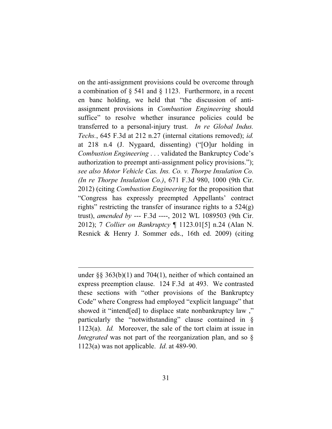on the anti-assignment provisions could be overcome through a combination of § 541 and § 1123. Furthermore, in a recent en banc holding, we held that "the discussion of antiassignment provisions in *Combustion Engineering* should suffice" to resolve whether insurance policies could be transferred to a personal-injury trust. *In re Global Indus. Techs.*, 645 F.3d at 212 n.27 (internal citations removed); *id.*  at 218 n.4 (J. Nygaard, dissenting) ("[O]ur holding in *Combustion Engineering* . . . validated the Bankruptcy Code's authorization to preempt anti-assignment policy provisions."); *see also Motor Vehicle Cas. Ins. Co. v. Thorpe Insulation Co. (In re Thorpe Insulation Co.)*, 671 F.3d 980, 1000 (9th Cir. 2012) (citing *Combustion Engineering* for the proposition that "Congress has expressly preempted Appellants' contract rights" restricting the transfer of insurance rights to a  $524(g)$ trust), *amended by* --- F.3d ----, 2012 WL 1089503 (9th Cir. 2012); 7 *Collier on Bankruptcy* ¶ 1123.01[5] n.24 (Alan N. Resnick & Henry J. Sommer eds., 16th ed. 2009) (citing

under §§ 363(b)(1) and 704(1), neither of which contained an express preemption clause. 124 F.3d at 493. We contrasted these sections with "other provisions of the Bankruptcy Code" where Congress had employed "explicit language" that showed it "intend[ed] to displace state nonbankruptcy law ," particularly the "notwithstanding" clause contained in § 1123(a). *Id.* Moreover, the sale of the tort claim at issue in *Integrated* was not part of the reorganization plan, and so  $\S$ 1123(a) was not applicable. *Id*. at 489-90.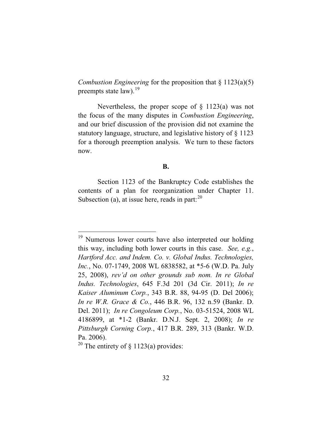*Combustion Engineering* for the proposition that § 1123(a)(5) preempts state law).<sup>19</sup>

Nevertheless, the proper scope of  $\S$  1123(a) was not the focus of the many disputes in *Combustion Engineering*, and our brief discussion of the provision did not examine the statutory language, structure, and legislative history of § 1123 for a thorough preemption analysis. We turn to these factors now.

## **B.**

Section 1123 of the Bankruptcy Code establishes the contents of a plan for reorganization under Chapter 11. Subsection (a), at issue here, reads in part: $^{20}$ 

<sup>20</sup> The entirety of  $\S$  1123(a) provides:

<sup>&</sup>lt;sup>19</sup> Numerous lower courts have also interpreted our holding this way, including both lower courts in this case. *See, e.g.*, *Hartford Acc. and Indem. Co. v. Global Indus. Technologies, Inc.*, No. 07-1749, 2008 WL 6838582, at \*5-6 (W.D. Pa. July 25, 2008), *rev'd on other grounds sub nom. In re Global Indus. Technologies*, 645 F.3d 201 (3d Cir. 2011); *In re Kaiser Aluminum Corp.*, 343 B.R. 88, 94-95 (D. Del 2006); *In re W.R. Grace & Co.*, 446 B.R. 96, 132 n.59 (Bankr. D. Del. 2011); *In re Congoleum Corp.*, No. 03-51524, 2008 WL 4186899, at \*1-2 (Bankr. D.N.J. Sept. 2, 2008); *In re Pittsburgh Corning Corp.*, 417 B.R. 289, 313 (Bankr. W.D. Pa. 2006).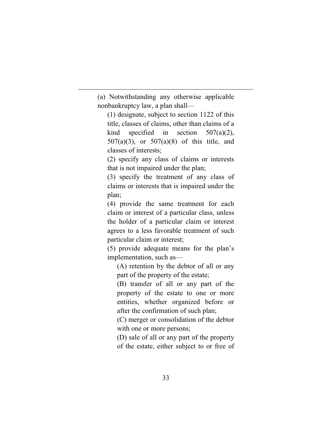(a) Notwithstanding any otherwise applicable nonbankruptcy law, a plan shall—

(1) designate, subject to section 1122 of this title, classes of claims, other than claims of a kind specified in section  $507(a)(2)$ , 507(a)(3), or 507(a)(8) of this title, and classes of interests;

(2) specify any class of claims or interests that is not impaired under the plan;

(3) specify the treatment of any class of claims or interests that is impaired under the plan;

(4) provide the same treatment for each claim or interest of a particular class, unless the holder of a particular claim or interest agrees to a less favorable treatment of such particular claim or interest;

(5) provide adequate means for the plan's implementation, such as—

(A) retention by the debtor of all or any part of the property of the estate;

(B) transfer of all or any part of the property of the estate to one or more entities, whether organized before or after the confirmation of such plan;

(C) merger or consolidation of the debtor with one or more persons;

(D) sale of all or any part of the property of the estate, either subject to or free of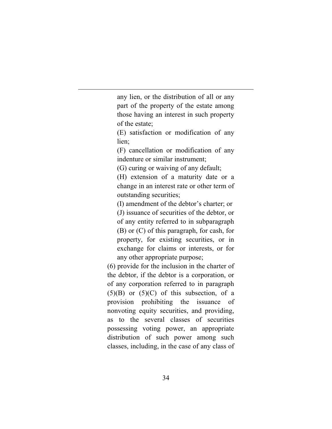any lien, or the distribution of all or any part of the property of the estate among those having an interest in such property of the estate;

(E) satisfaction or modification of any lien;

(F) cancellation or modification of any indenture or similar instrument;

(G) curing or waiving of any default;

(H) extension of a maturity date or a change in an interest rate or other term of outstanding securities;

(I) amendment of the debtor's charter; or

(J) issuance of securities of the debtor, or of any entity referred to in subparagraph (B) or (C) of this paragraph, for cash, for property, for existing securities, or in exchange for claims or interests, or for any other appropriate purpose;

(6) provide for the inclusion in the charter of the debtor, if the debtor is a corporation, or of any corporation referred to in paragraph  $(5)(B)$  or  $(5)(C)$  of this subsection, of a provision prohibiting the issuance of nonvoting equity securities, and providing, as to the several classes of securities possessing voting power, an appropriate distribution of such power among such classes, including, in the case of any class of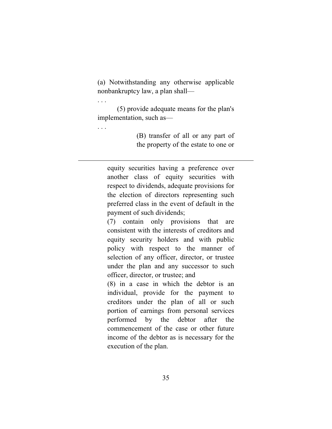(a) Notwithstanding any otherwise applicable nonbankruptcy law, a plan shall—

(5) provide adequate means for the plan's implementation, such as—

. . .

. . .

(B) transfer of all or any part of the property of the estate to one or

equity securities having a preference over another class of equity securities with respect to dividends, adequate provisions for the election of directors representing such preferred class in the event of default in the payment of such dividends;

(7) contain only provisions that are consistent with the interests of creditors and equity security holders and with public policy with respect to the manner of selection of any officer, director, or trustee under the plan and any successor to such officer, director, or trustee; and

(8) in a case in which the debtor is an individual, provide for the payment to creditors under the plan of all or such portion of earnings from personal services performed by the debtor after the commencement of the case or other future income of the debtor as is necessary for the execution of the plan.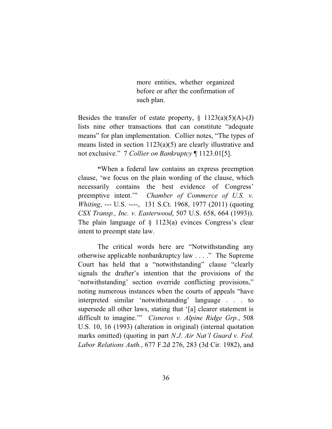more entities, whether organized before or after the confirmation of such plan.

Besides the transfer of estate property,  $\S$  1123(a)(5)(A)-(J) lists nine other transactions that can constitute "adequate means" for plan implementation. Collier notes, "The types of means listed in section 1123(a)(5) are clearly illustrative and not exclusive." 7 *Collier on Bankruptcy* ¶ 1123.01[5].

**"**When a federal law contains an express preemption clause, 'we focus on the plain wording of the clause, which necessarily contains the best evidence of Congress' preemptive intent.'" *Chamber of Commerce of U.S. v. Whiting*, --- U.S. ----, 131 S.Ct. 1968, 1977 (2011) (quoting *CSX Transp., Inc. v. Easterwood*, 507 U.S. 658, 664 (1993)). The plain language of § 1123(a) evinces Congress's clear intent to preempt state law.

The critical words here are "Notwithstanding any otherwise applicable nonbankruptcy law . . . ." The Supreme Court has held that a "notwithstanding" clause "clearly signals the drafter's intention that the provisions of the 'notwithstanding' section override conflicting provisions," noting numerous instances when the courts of appeals "have interpreted similar 'notwithstanding' language . . . to supersede all other laws, stating that '[a] clearer statement is difficult to imagine.'" *Cisneros v. Alpine Ridge Grp.*, 508 U.S. 10, 16 (1993) (alteration in original) (internal quotation marks omitted) (quoting in part *N.J. Air Nat'l Guard v. Fed. Labor Relations Auth.*, 677 F.2d 276, 283 (3d Cir. 1982), and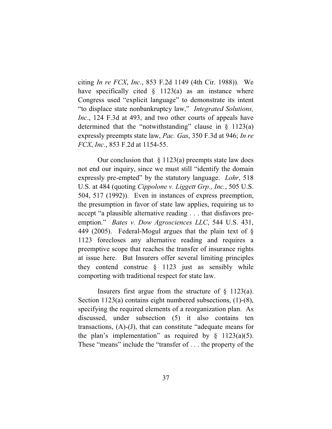citing *In re FCX*, *Inc*., 853 F.2d 1149 (4th Cir. 1988)). We have specifically cited  $\S$  1123(a) as an instance where Congress used "explicit language" to demonstrate its intent "to displace state nonbankruptcy law," *Integrated Solutions, Inc*., 124 F.3d at 493, and two other courts of appeals have determined that the "notwithstanding" clause in  $\S$  1123(a) expressly preempts state law, *Pac. Gas*, 350 F.3d at 946; *In re FCX*, *Inc*., 853 F.2d at 1154-55.

Our conclusion that  $\S 1123(a)$  preempts state law does not end our inquiry, since we must still "identify the domain expressly pre-empted" by the statutory language. *Lohr*, 518 U.S. at 484 (quoting *Cippolone v. Liggett Grp., Inc.*, 505 U.S. 504, 517 (1992)). Even in instances of express preemption, the presumption in favor of state law applies, requiring us to accept "a plausible alternative reading . . . that disfavors preemption." *Bates v. Dow Agrosciences LLC*, 544 U.S. 431, 449 (2005). Federal-Mogul argues that the plain text of § 1123 forecloses any alternative reading and requires a preemptive scope that reaches the transfer of insurance rights at issue here. But Insurers offer several limiting principles they contend construe  $\S$  1123 just as sensibly while comporting with traditional respect for state law.

Insurers first argue from the structure of  $\S$  1123(a). Section 1123(a) contains eight numbered subsections, (1)-(8), specifying the required elements of a reorganization plan. As discussed, under subsection (5) it also contains ten transactions, (A)-(J), that can constitute "adequate means for the plan's implementation" as required by  $\S$  1123(a)(5). These "means" include the "transfer of . . . the property of the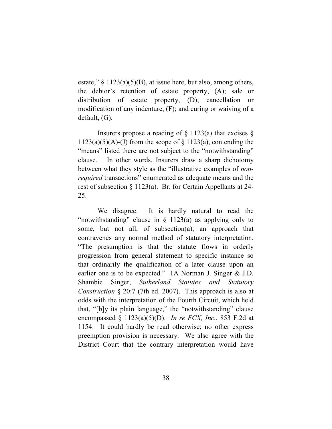estate,"  $\S 1123(a)(5)(B)$ , at issue here, but also, among others, the debtor's retention of estate property, (A); sale or distribution of estate property, (D); cancellation or modification of any indenture, (F); and curing or waiving of a default, (G).

Insurers propose a reading of  $\S$  1123(a) that excises  $\S$  $1123(a)(5)(A)$ -(J) from the scope of § 1123(a), contending the "means" listed there are not subject to the "notwithstanding" clause. In other words, Insurers draw a sharp dichotomy between what they style as the "illustrative examples of *nonrequired* transactions" enumerated as adequate means and the rest of subsection § 1123(a). Br. for Certain Appellants at 24- 25.

We disagree. It is hardly natural to read the "notwithstanding" clause in § 1123(a) as applying only to some, but not all, of subsection(a), an approach that contravenes any normal method of statutory interpretation. "The presumption is that the statute flows in orderly progression from general statement to specific instance so that ordinarily the qualification of a later clause upon an earlier one is to be expected." 1A Norman J. Singer & J.D. Shambie Singer, *Sutherland Statutes and Statutory Construction* § 20:7 (7th ed. 2007). This approach is also at odds with the interpretation of the Fourth Circuit, which held that, "[b]y its plain language," the "notwithstanding" clause encompassed § 1123(a)(5)(D). *In re FCX, Inc.*, 853 F.2d at 1154. It could hardly be read otherwise; no other express preemption provision is necessary. We also agree with the District Court that the contrary interpretation would have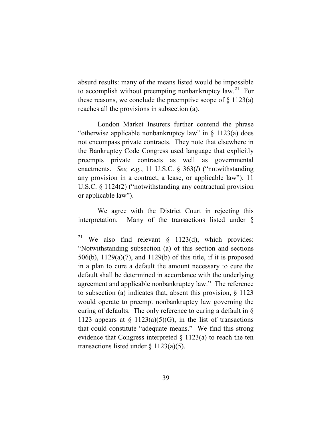absurd results: many of the means listed would be impossible to accomplish without preempting nonbankruptcy  $law^{21}$  For these reasons, we conclude the preemptive scope of  $\S$  1123(a) reaches all the provisions in subsection (a).

London Market Insurers further contend the phrase "otherwise applicable nonbankruptcy law" in § 1123(a) does not encompass private contracts. They note that elsewhere in the Bankruptcy Code Congress used language that explicitly preempts private contracts as well as governmental enactments. *See, e.g.*, 11 U.S.C. § 363(*l*) ("notwithstanding any provision in a contract, a lease, or applicable law"); 11 U.S.C. § 1124(2) ("notwithstanding any contractual provision or applicable law").

We agree with the District Court in rejecting this interpretation. Many of the transactions listed under §

<sup>&</sup>lt;sup>21</sup> We also find relevant  $\S$  1123(d), which provides: "Notwithstanding subsection (a) of this section and sections 506(b), 1129(a)(7), and 1129(b) of this title, if it is proposed in a plan to cure a default the amount necessary to cure the default shall be determined in accordance with the underlying agreement and applicable nonbankruptcy law." The reference to subsection (a) indicates that, absent this provision, § 1123 would operate to preempt nonbankruptcy law governing the curing of defaults. The only reference to curing a default in § 1123 appears at  $\S$  1123(a)(5)(G), in the list of transactions that could constitute "adequate means." We find this strong evidence that Congress interpreted  $\S$  1123(a) to reach the ten transactions listed under  $\S$  1123(a)(5).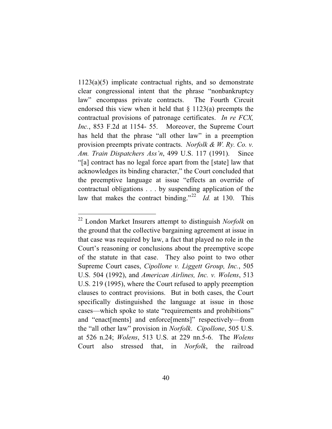1123(a)(5) implicate contractual rights, and so demonstrate clear congressional intent that the phrase "nonbankruptcy law" encompass private contracts. The Fourth Circuit endorsed this view when it held that  $\S$  1123(a) preempts the contractual provisions of patronage certificates. *In re FCX, Inc.*, 853 F.2d at 1154- 55. Moreover, the Supreme Court has held that the phrase "all other law" in a preemption provision preempts private contracts. *Norfolk & W. Ry. Co. v. Am. Train Dispatchers Ass'n*, 499 U.S. 117 (1991). Since "[a] contract has no legal force apart from the [state] law that acknowledges its binding character," the Court concluded that the preemptive language at issue "effects an override of contractual obligations . . . by suspending application of the law that makes the contract binding."<sup>22</sup> *Id.* at 130. This

<sup>22</sup> London Market Insurers attempt to distinguish *Norfolk* on the ground that the collective bargaining agreement at issue in that case was required by law, a fact that played no role in the Court's reasoning or conclusions about the preemptive scope of the statute in that case. They also point to two other Supreme Court cases, *Cipollone v. Liggett Group, Inc.*, 505 U.S. 504 (1992), and *American Airlines, Inc. v. Wolens*, 513 U.S. 219 (1995), where the Court refused to apply preemption clauses to contract provisions. But in both cases, the Court specifically distinguished the language at issue in those cases—which spoke to state "requirements and prohibitions" and "enact[ments] and enforce[ments]" respectively—from the "all other law" provision in *Norfolk*. *Cipollone*, 505 U.S. at 526 n.24; *Wolens*, 513 U.S. at 229 nn.5-6. The *Wolens*  Court also stressed that, in *Norfolk*, the railroad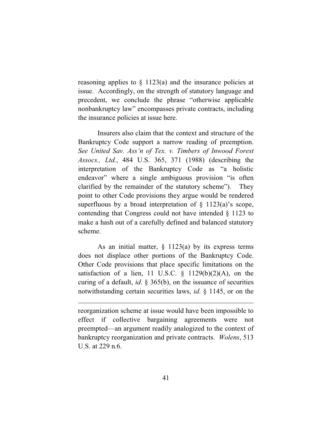reasoning applies to  $\S$  1123(a) and the insurance policies at issue. Accordingly, on the strength of statutory language and precedent, we conclude the phrase "otherwise applicable nonbankruptcy law" encompasses private contracts, including the insurance policies at issue here.

Insurers also claim that the context and structure of the Bankruptcy Code support a narrow reading of preemption. *See United Sav. Ass'n of Tex. v. Timbers of Inwood Forest Assocs., Ltd.*, 484 U.S. 365, 371 (1988) (describing the interpretation of the Bankruptcy Code as "a holistic endeavor" where a single ambiguous provision "is often clarified by the remainder of the statutory scheme"). They point to other Code provisions they argue would be rendered superfluous by a broad interpretation of  $\S$  1123(a)'s scope, contending that Congress could not have intended § 1123 to make a hash out of a carefully defined and balanced statutory scheme.

As an initial matter,  $\S$  1123(a) by its express terms does not displace other portions of the Bankruptcy Code. Other Code provisions that place specific limitations on the satisfaction of a lien, 11 U.S.C.  $\S$  1129(b)(2)(A), on the curing of a default, *id*. § 365(b), on the issuance of securities notwithstanding certain securities laws, *id*. § 1145, or on the

reorganization scheme at issue would have been impossible to effect if collective bargaining agreements were not preempted—an argument readily analogized to the context of bankruptcy reorganization and private contracts. *Wolens*, 513 U.S. at 229 n.6.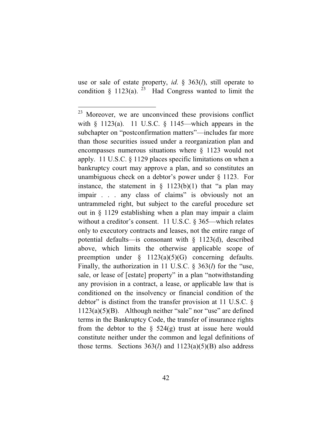use or sale of estate property, *id*. § 363(*l*), still operate to condition  $\S$  1123(a). <sup>23</sup> Had Congress wanted to limit the

<sup>&</sup>lt;sup>23</sup> Moreover, we are unconvinced these provisions conflict with  $\S$  1123(a). 11 U.S.C.  $\S$  1145—which appears in the subchapter on "postconfirmation matters"—includes far more than those securities issued under a reorganization plan and encompasses numerous situations where § 1123 would not apply. 11 U.S.C. § 1129 places specific limitations on when a bankruptcy court may approve a plan, and so constitutes an unambiguous check on a debtor's power under § 1123. For instance, the statement in  $\S$  1123(b)(1) that "a plan may impair . . . any class of claims" is obviously not an untrammeled right, but subject to the careful procedure set out in § 1129 establishing when a plan may impair a claim without a creditor's consent. 11 U.S.C. § 365—which relates only to executory contracts and leases, not the entire range of potential defaults—is consonant with § 1123(d), described above, which limits the otherwise applicable scope of preemption under  $\S$  1123(a)(5)(G) concerning defaults. Finally, the authorization in 11 U.S.C. § 363(*l*) for the "use, sale, or lease of [estate] property" in a plan "notwithstanding any provision in a contract, a lease, or applicable law that is conditioned on the insolvency or financial condition of the debtor" is distinct from the transfer provision at 11 U.S.C. §  $1123(a)(5)(B)$ . Although neither "sale" nor "use" are defined terms in the Bankruptcy Code, the transfer of insurance rights from the debtor to the  $\S$  524(g) trust at issue here would constitute neither under the common and legal definitions of those terms. Sections  $363(l)$  and  $1123(a)(5)(B)$  also address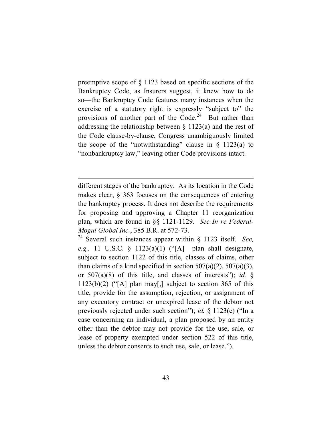preemptive scope of § 1123 based on specific sections of the Bankruptcy Code, as Insurers suggest, it knew how to do so—the Bankruptcy Code features many instances when the exercise of a statutory right is expressly "subject to" the provisions of another part of the Code.<sup>24</sup> But rather than addressing the relationship between § 1123(a) and the rest of the Code clause-by-clause, Congress unambiguously limited the scope of the "notwithstanding" clause in  $\S$  1123(a) to "nonbankruptcy law," leaving other Code provisions intact.

different stages of the bankruptcy. As its location in the Code makes clear, § 363 focuses on the consequences of entering the bankruptcy process. It does not describe the requirements for proposing and approving a Chapter 11 reorganization plan, which are found in §§ 1121-1129. *See In re Federal-Mogul Global Inc.*, 385 B.R. at 572-73.

<sup>24</sup> Several such instances appear within § 1123 itself. *See, e.g.,* 11 U.S.C. § 1123(a)(1) ("[A] plan shall designate, subject to section 1122 of this title, classes of claims, other than claims of a kind specified in section  $507(a)(2)$ ,  $507(a)(3)$ , or 507(a)(8) of this title, and classes of interests"); *id.* §  $1123(b)(2)$  ("[A] plan may[,] subject to section 365 of this title, provide for the assumption, rejection, or assignment of any executory contract or unexpired lease of the debtor not previously rejected under such section"); *id.* § 1123(c) ("In a case concerning an individual, a plan proposed by an entity other than the debtor may not provide for the use, sale, or lease of property exempted under section 522 of this title, unless the debtor consents to such use, sale, or lease.").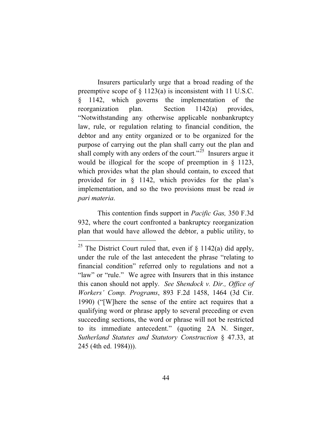Insurers particularly urge that a broad reading of the preemptive scope of § 1123(a) is inconsistent with 11 U.S.C. § 1142, which governs the implementation of the reorganization plan. Section 1142(a) provides, "Notwithstanding any otherwise applicable nonbankruptcy law, rule, or regulation relating to financial condition, the debtor and any entity organized or to be organized for the purpose of carrying out the plan shall carry out the plan and shall comply with any orders of the court."<sup>25</sup> Insurers argue it would be illogical for the scope of preemption in § 1123, which provides what the plan should contain, to exceed that provided for in § 1142, which provides for the plan's implementation, and so the two provisions must be read *in pari materia*.

This contention finds support in *Pacific Gas,* 350 F.3d 932, where the court confronted a bankruptcy reorganization plan that would have allowed the debtor, a public utility, to

<sup>&</sup>lt;sup>25</sup> The District Court ruled that, even if  $\S$  1142(a) did apply, under the rule of the last antecedent the phrase "relating to financial condition" referred only to regulations and not a "law" or "rule." We agree with Insurers that in this instance this canon should not apply. *See Shendock v. Dir., Office of Workers' Comp. Programs*, 893 F.2d 1458, 1464 (3d Cir. 1990) ("[W]here the sense of the entire act requires that a qualifying word or phrase apply to several preceding or even succeeding sections, the word or phrase will not be restricted to its immediate antecedent." (quoting 2A N. Singer, *Sutherland Statutes and Statutory Construction* § 47.33, at 245 (4th ed. 1984))).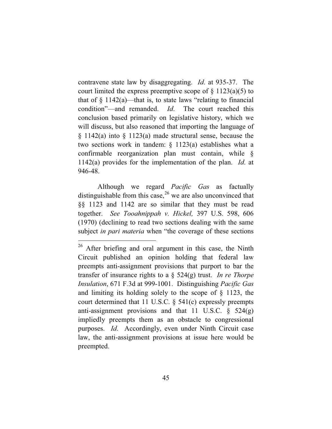contravene state law by disaggregating. *Id*. at 935-37. The court limited the express preemptive scope of  $\S$  1123(a)(5) to that of  $\S$  1142(a)—that is, to state laws "relating to financial condition"—and remanded. *Id*. The court reached this conclusion based primarily on legislative history, which we will discuss, but also reasoned that importing the language of § 1142(a) into § 1123(a) made structural sense, because the two sections work in tandem: § 1123(a) establishes what a confirmable reorganization plan must contain, while § 1142(a) provides for the implementation of the plan. *Id*. at 946-48.

Although we regard *Pacific Gas* as factually distinguishable from this case,  $^{26}$  we are also unconvinced that §§ 1123 and 1142 are so similar that they must be read together. *See Tooahnippah v. Hickel,* 397 U.S. 598, 606 (1970) (declining to read two sections dealing with the same subject *in pari materia* when "the coverage of these sections

<sup>&</sup>lt;sup>26</sup> After briefing and oral argument in this case, the Ninth Circuit published an opinion holding that federal law preempts anti-assignment provisions that purport to bar the transfer of insurance rights to a § 524(g) trust. *In re Thorpe Insulation*, 671 F.3d at 999-1001. Distinguishing *Pacific Gas* and limiting its holding solely to the scope of § 1123, the court determined that 11 U.S.C. § 541(c) expressly preempts anti-assignment provisions and that 11 U.S.C.  $\S$  524(g) impliedly preempts them as an obstacle to congressional purposes. *Id*. Accordingly, even under Ninth Circuit case law, the anti-assignment provisions at issue here would be preempted.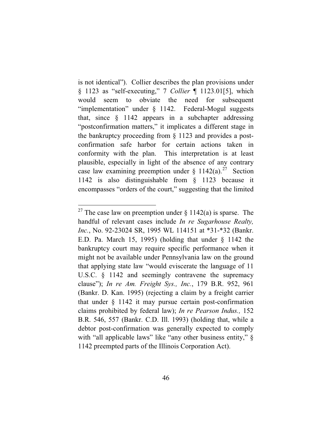is not identical"). Collier describes the plan provisions under § 1123 as "self-executing," 7 *Collier* ¶ 1123.01[5], which would seem to obviate the need for subsequent "implementation" under § 1142. Federal-Mogul suggests that, since § 1142 appears in a subchapter addressing "postconfirmation matters," it implicates a different stage in the bankruptcy proceeding from § 1123 and provides a postconfirmation safe harbor for certain actions taken in conformity with the plan. This interpretation is at least plausible, especially in light of the absence of any contrary case law examining preemption under  $\S 1142(a)$ .<sup>27</sup> Section 1142 is also distinguishable from § 1123 because it encompasses "orders of the court," suggesting that the limited

<sup>&</sup>lt;sup>27</sup> The case law on preemption under  $\S$  1142(a) is sparse. The handful of relevant cases include *In re Sugarhouse Realty, Inc.*, No. 92-23024 SR, 1995 WL 114151 at \*31-\*32 (Bankr. E.D. Pa. March 15, 1995) (holding that under § 1142 the bankruptcy court may require specific performance when it might not be available under Pennsylvania law on the ground that applying state law "would eviscerate the language of 11 U.S.C. § 1142 and seemingly contravene the supremacy clause"); *In re Am. Freight Sys., Inc.*, 179 B.R. 952, 961 (Bankr. D. Kan. 1995) (rejecting a claim by a freight carrier that under § 1142 it may pursue certain post-confirmation claims prohibited by federal law); *In re Pearson Indus.,* 152 B.R. 546, 557 (Bankr. C.D. Ill. 1993) (holding that, while a debtor post-confirmation was generally expected to comply with "all applicable laws" like "any other business entity,"  $\S$ 1142 preempted parts of the Illinois Corporation Act).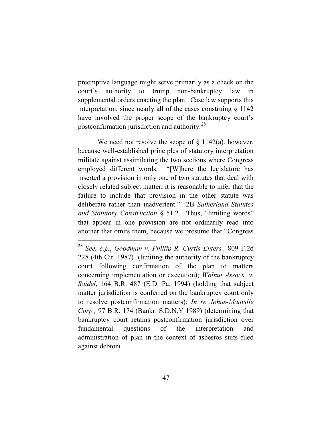preemptive language might serve primarily as a check on the court's authority to trump non-bankruptcy law in supplemental orders enacting the plan. Case law supports this interpretation, since nearly all of the cases construing § 1142 have involved the proper scope of the bankruptcy court's postconfirmation jurisdiction and authority.<sup>28</sup>

We need not resolve the scope of  $\S$  1142(a), however, because well-established principles of statutory interpretation militate against assimilating the two sections where Congress employed different words. "[W]here the legislature has inserted a provision in only one of two statutes that deal with closely related subject matter, it is reasonable to infer that the failure to include that provision in the other statute was deliberate rather than inadvertent." 2B *Sutherland Statutes and Statutory Construction* § 51.2. Thus, "limiting words" that appear in one provision are not ordinarily read into another that omits them, because we presume that "Congress

<sup>28</sup> *See, e.g.*, *Goodman v. Phillip R. Curtis Enters.,* 809 F.2d 228 (4th Cir. 1987) (limiting the authority of the bankruptcy court following confirmation of the plan to matters concerning implementation or execution); *Walnut Assocs. v. Saidel*, 164 B.R. 487 (E.D. Pa. 1994) (holding that subject matter jurisdiction is conferred on the bankruptcy court only to resolve postconfirmation matters); *In re Johns-Manville Corp.,* 97 B.R. 174 (Bankr. S.D.N.Y 1989) (determining that bankruptcy court retains postconfirmation jurisdiction over fundamental questions of the interpretation and administration of plan in the context of asbestos suits filed against debtor).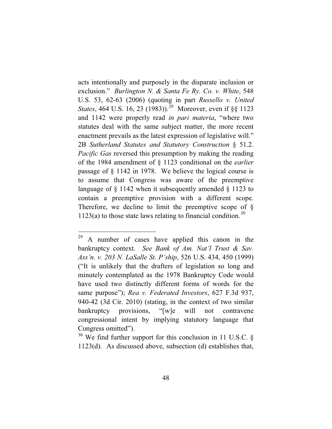acts intentionally and purposely in the disparate inclusion or exclusion." *Burlington N. & Santa Fe Ry. Co. v. White*, 548 U.S. 53, 62-63 (2006) (quoting in part *Russello v. United States*, 464 U.S. 16, 23 (1983)).<sup>29</sup> Moreover, even if §§ 1123 and 1142 were properly read *in pari materia*, "where two statutes deal with the same subject matter, the more recent enactment prevails as the latest expression of legislative will." 2B *Sutherland Statutes and Statutory Construction* § 51.2. *Pacific Gas* reversed this presumption by making the reading of the 1984 amendment of § 1123 conditional on the *earlier* passage of § 1142 in 1978. We believe the logical course is to assume that Congress was aware of the preemptive language of § 1142 when it subsequently amended § 1123 to contain a preemptive provision with a different scope. Therefore, we decline to limit the preemptive scope of  $\S$ 1123(a) to those state laws relating to financial condition.<sup>30</sup>

<sup>29</sup> A number of cases have applied this canon in the bankruptcy context. *See Bank of Am. Nat'l Trust & Sav. Ass'n. v. 203 N. LaSalle St. P'ship*, 526 U.S. 434, 450 (1999) ("It is unlikely that the drafters of legislation so long and minutely contemplated as the 1978 Bankruptcy Code would have used two distinctly different forms of words for the same purpose"); *Rea v. Federated Investors*, 627 F.3d 937, 940-42 (3d Cir. 2010) (stating, in the context of two similar bankruptcy provisions, "[w]e will not contravene congressional intent by implying statutory language that Congress omitted").

 $30$  We find further support for this conclusion in 11 U.S.C. § 1123(d). As discussed above, subsection (d) establishes that,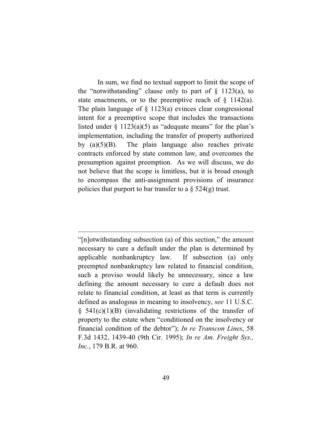In sum, we find no textual support to limit the scope of the "notwithstanding" clause only to part of  $\S$  1123(a), to state enactments, or to the preemptive reach of  $\S$  1142(a). The plain language of  $\S$  1123(a) evinces clear congressional intent for a preemptive scope that includes the transactions listed under  $\S$  1123(a)(5) as "adequate means" for the plan's implementation, including the transfer of property authorized by  $(a)(5)(B)$ . The plain language also reaches private contracts enforced by state common law, and overcomes the presumption against preemption. As we will discuss, we do not believe that the scope is limitless, but it is broad enough to encompass the anti-assignment provisions of insurance policies that purport to bar transfer to a  $\S$  524(g) trust.

"[n]otwithstanding subsection (a) of this section," the amount necessary to cure a default under the plan is determined by applicable nonbankruptcy law. If subsection (a) only preempted nonbankruptcy law related to financial condition, such a proviso would likely be unnecessary, since a law defining the amount necessary to cure a default does not relate to financial condition, at least as that term is currently defined as analogous in meaning to insolvency, *see* 11 U.S.C.  $§$  541(c)(1)(B) (invalidating restrictions of the transfer of property to the estate when "conditioned on the insolvency or financial condition of the debtor"); *In re Transcon Lines*, 58 F.3d 1432, 1439-40 (9th Cir. 1995); *In re Am. Freight Sys., Inc.*, 179 B.R. at 960.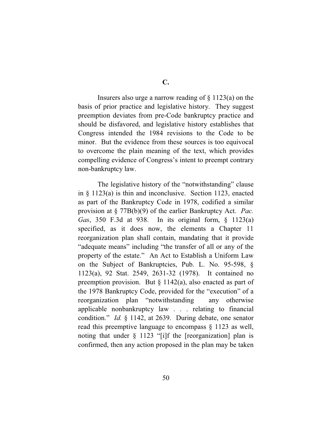Insurers also urge a narrow reading of  $\S 1123(a)$  on the basis of prior practice and legislative history. They suggest preemption deviates from pre-Code bankruptcy practice and should be disfavored, and legislative history establishes that Congress intended the 1984 revisions to the Code to be minor. But the evidence from these sources is too equivocal to overcome the plain meaning of the text, which provides compelling evidence of Congress's intent to preempt contrary non-bankruptcy law.

The legislative history of the "notwithstanding" clause in § 1123(a) is thin and inconclusive. Section 1123, enacted as part of the Bankruptcy Code in 1978, codified a similar provision at § 77B(b)(9) of the earlier Bankruptcy Act. *Pac. Gas*, 350 F.3d at 938. In its original form, § 1123(a) specified, as it does now, the elements a Chapter 11 reorganization plan shall contain, mandating that it provide "adequate means" including "the transfer of all or any of the property of the estate." An Act to Establish a Uniform Law on the Subject of Bankruptcies, Pub. L. No. 95-598, § 1123(a), 92 Stat. 2549, 2631-32 (1978). It contained no preemption provision. But § 1142(a), also enacted as part of the 1978 Bankruptcy Code, provided for the "execution" of a reorganization plan "notwithstanding any otherwise applicable nonbankruptcy law . . . relating to financial condition." *Id.* § 1142, at 2639. During debate, one senator read this preemptive language to encompass § 1123 as well, noting that under  $\S$  1123 "[i]f the [reorganization] plan is confirmed, then any action proposed in the plan may be taken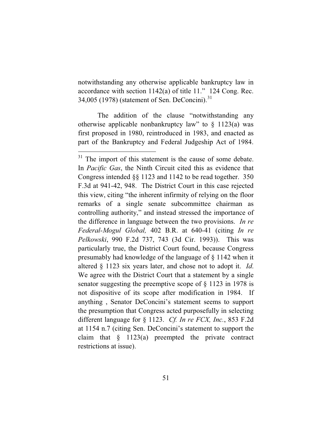notwithstanding any otherwise applicable bankruptcy law in accordance with section 1142(a) of title 11." 124 Cong. Rec. 34,005 (1978) (statement of Sen. DeConcini).<sup>31</sup>

The addition of the clause "notwithstanding any otherwise applicable nonbankruptcy law" to  $\S$  1123(a) was first proposed in 1980, reintroduced in 1983, and enacted as part of the Bankruptcy and Federal Judgeship Act of 1984.

<sup>&</sup>lt;sup>31</sup> The import of this statement is the cause of some debate. In *Pacific Gas*, the Ninth Circuit cited this as evidence that Congress intended §§ 1123 and 1142 to be read together. 350 F.3d at 941-42, 948. The District Court in this case rejected this view, citing "the inherent infirmity of relying on the floor remarks of a single senate subcommittee chairman as controlling authority," and instead stressed the importance of the difference in language between the two provisions. *In re Federal-Mogul Global,* 402 B.R. at 640-41 (citing *In re Pelkowski*, 990 F.2d 737, 743 (3d Cir. 1993)). This was particularly true, the District Court found, because Congress presumably had knowledge of the language of § 1142 when it altered § 1123 six years later, and chose not to adopt it. *Id*. We agree with the District Court that a statement by a single senator suggesting the preemptive scope of § 1123 in 1978 is not dispositive of its scope after modification in 1984. If anything , Senator DeConcini's statement seems to support the presumption that Congress acted purposefully in selecting different language for § 1123. *Cf. In re FCX, Inc.*, 853 F.2d at 1154 n.7 (citing Sen. DeConcini's statement to support the claim that  $\S$  1123(a) preempted the private contract restrictions at issue).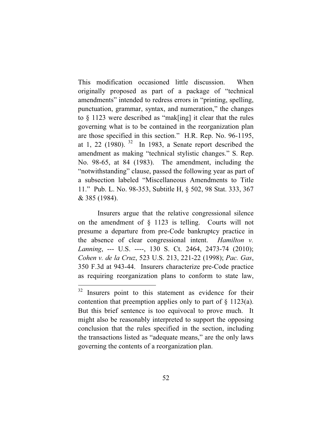This modification occasioned little discussion. When originally proposed as part of a package of "technical amendments" intended to redress errors in "printing, spelling, punctuation, grammar, syntax, and numeration," the changes to § 1123 were described as "mak[ing] it clear that the rules governing what is to be contained in the reorganization plan are those specified in this section." H.R. Rep. No. 96-1195, at 1, 22 (1980).  $32 \text{ In } 1983$ , a Senate report described the amendment as making "technical stylistic changes." S. Rep. No. 98-65, at 84 (1983). The amendment, including the "notwithstanding" clause, passed the following year as part of a subsection labeled "Miscellaneous Amendments to Title 11." Pub. L. No. 98-353, Subtitle H, § 502, 98 Stat. 333, 367 & 385 (1984).

Insurers argue that the relative congressional silence on the amendment of § 1123 is telling. Courts will not presume a departure from pre-Code bankruptcy practice in the absence of clear congressional intent. *Hamilton v. Lanning*, --- U.S. ----, 130 S. Ct. 2464, 2473-74 (2010); *Cohen v. de la Cruz*, 523 U.S. 213, 221-22 (1998); *Pac. Gas*, 350 F.3d at 943-44. Insurers characterize pre-Code practice as requiring reorganization plans to conform to state law,

<sup>&</sup>lt;sup>32</sup> Insurers point to this statement as evidence for their contention that preemption applies only to part of  $\S$  1123(a). But this brief sentence is too equivocal to prove much. It might also be reasonably interpreted to support the opposing conclusion that the rules specified in the section, including the transactions listed as "adequate means," are the only laws governing the contents of a reorganization plan.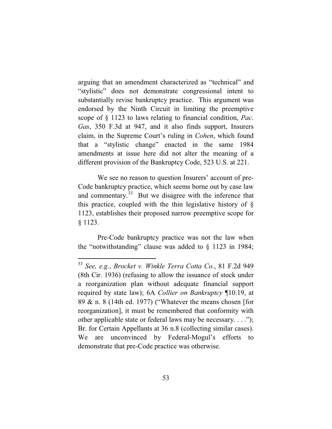arguing that an amendment characterized as "technical" and "stylistic" does not demonstrate congressional intent to substantially revise bankruptcy practice. This argument was endorsed by the Ninth Circuit in limiting the preemptive scope of § 1123 to laws relating to financial condition, *Pac. Gas*, 350 F.3d at 947, and it also finds support, Insurers claim, in the Supreme Court's ruling in *Cohen*, which found that a "stylistic change" enacted in the same 1984 amendments at issue here did not alter the meaning of a different provision of the Bankruptcy Code, 523 U.S. at 221.

We see no reason to question Insurers' account of pre-Code bankruptcy practice, which seems borne out by case law and commentary. $33$  But we disagree with the inference that this practice, coupled with the thin legislative history of § 1123, establishes their proposed narrow preemptive scope for § 1123.

Pre-Code bankruptcy practice was not the law when the "notwithstanding" clause was added to § 1123 in 1984;

<sup>33</sup> *See, e.g.*, *Brocket v. Winkle Terra Cotta Co.*, 81 F.2d 949 (8th Cir. 1936) (refusing to allow the issuance of stock under a reorganization plan without adequate financial support required by state law); 6A *Collier on Bankruptcy* ¶10.19, at 89 & n. 8 (14th ed. 1977) ("Whatever the means chosen [for reorganization], it must be remembered that conformity with other applicable state or federal laws may be necessary. . . ."); Br. for Certain Appellants at 36 n.8 (collecting similar cases). We are unconvinced by Federal-Mogul's efforts to demonstrate that pre-Code practice was otherwise.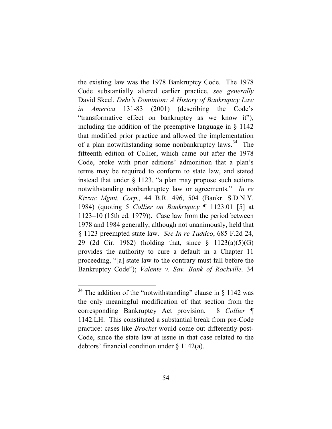the existing law was the 1978 Bankruptcy Code. The 1978 Code substantially altered earlier practice, *see generally*  David Skeel, *Debt's Dominion: A History of Bankruptcy Law in America* 131-83 (2001) (describing the Code's "transformative effect on bankruptcy as we know it"), including the addition of the preemptive language in § 1142 that modified prior practice and allowed the implementation of a plan notwithstanding some nonbankruptcy laws.<sup>34</sup> The fifteenth edition of Collier, which came out after the 1978 Code, broke with prior editions' admonition that a plan's terms may be required to conform to state law, and stated instead that under  $\S$  1123, "a plan may propose such actions notwithstanding nonbankruptcy law or agreements." *In re Kizzac Mgmt. Corp.,* 44 B.R. 496, 504 (Bankr. S.D.N.Y. 1984) (quoting 5 *Collier on Bankruptcy* ¶ 1123.01 [5] at 1123–10 (15th ed. 1979)). Case law from the period between 1978 and 1984 generally, although not unanimously, held that § 1123 preempted state law. *See In re Taddeo*, 685 F.2d 24, 29 (2d Cir. 1982) (holding that, since § 1123(a)(5)(G) provides the authority to cure a default in a Chapter 11 proceeding, "[a] state law to the contrary must fall before the Bankruptcy Code"); *Valente v. Sav. Bank of Rockville,* 34

 $34$  The addition of the "notwithstanding" clause in § 1142 was the only meaningful modification of that section from the corresponding Bankruptcy Act provision. 8 *Collier* ¶ 1142.LH. This constituted a substantial break from pre-Code practice: cases like *Brocket* would come out differently post-Code, since the state law at issue in that case related to the debtors' financial condition under § 1142(a).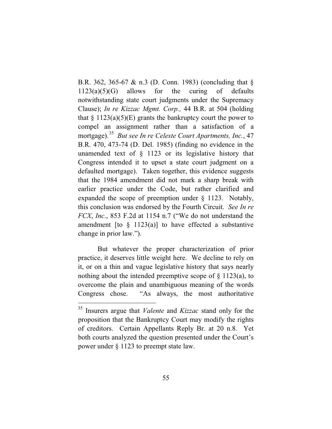B.R. 362, 365-67 & n.3 (D. Conn. 1983) (concluding that §  $1123(a)(5)(G)$  allows for the curing of defaults notwithstanding state court judgments under the Supremacy Clause); *In re Kizzac Mgmt. Corp.,* 44 B.R. at 504 (holding that  $\S 1123(a)(5)(E)$  grants the bankruptcy court the power to compel an assignment rather than a satisfaction of a mortgage).<sup>35</sup> *But see In re Celeste Court Apartments, Inc.*, 47 B.R. 470, 473-74 (D. Del. 1985) (finding no evidence in the unamended text of § 1123 or its legislative history that Congress intended it to upset a state court judgment on a defaulted mortgage). Taken together, this evidence suggests that the 1984 amendment did not mark a sharp break with earlier practice under the Code, but rather clarified and expanded the scope of preemption under § 1123. Notably, this conclusion was endorsed by the Fourth Circuit. *See In re FCX*, *Inc*., 853 F.2d at 1154 n.7 ("We do not understand the amendment [to  $\S$  1123(a)] to have effected a substantive change in prior law.").

But whatever the proper characterization of prior practice, it deserves little weight here. We decline to rely on it, or on a thin and vague legislative history that says nearly nothing about the intended preemptive scope of  $\S$  1123(a), to overcome the plain and unambiguous meaning of the words Congress chose. "As always, the most authoritative

<sup>35</sup> Insurers argue that *Valente* and *Kizzac* stand only for the proposition that the Bankruptcy Court may modify the rights of creditors. Certain Appellants Reply Br. at 20 n.8. Yet both courts analyzed the question presented under the Court's power under § 1123 to preempt state law.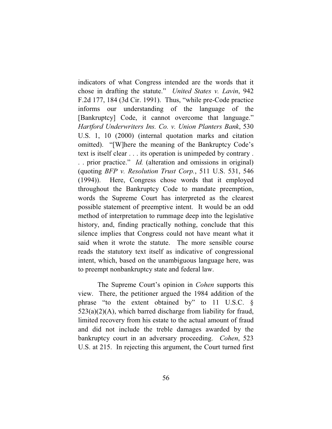indicators of what Congress intended are the words that it chose in drafting the statute." *United States v. Lavin*, 942 F.2d 177, 184 (3d Cir. 1991). Thus, "while pre-Code practice informs our understanding of the language of the [Bankruptcy] Code, it cannot overcome that language." *Hartford Underwriters Ins. Co. v. Union Planters Bank*, 530 U.S. 1, 10 (2000) (internal quotation marks and citation omitted). "[W]here the meaning of the Bankruptcy Code's text is itself clear . . . its operation is unimpeded by contrary . . . prior practice." *Id.* (alteration and omissions in original) (quoting *BFP v. Resolution Trust Corp.*, 511 U.S. 531, 546 (1994)). Here, Congress chose words that it employed throughout the Bankruptcy Code to mandate preemption, words the Supreme Court has interpreted as the clearest possible statement of preemptive intent. It would be an odd method of interpretation to rummage deep into the legislative history, and, finding practically nothing, conclude that this silence implies that Congress could not have meant what it said when it wrote the statute. The more sensible course reads the statutory text itself as indicative of congressional intent, which, based on the unambiguous language here, was to preempt nonbankruptcy state and federal law.

The Supreme Court's opinion in *Cohen* supports this view. There, the petitioner argued the 1984 addition of the phrase "to the extent obtained by" to 11 U.S.C. §  $523(a)(2)(A)$ , which barred discharge from liability for fraud, limited recovery from his estate to the actual amount of fraud and did not include the treble damages awarded by the bankruptcy court in an adversary proceeding. *Cohen*, 523 U.S. at 215. In rejecting this argument, the Court turned first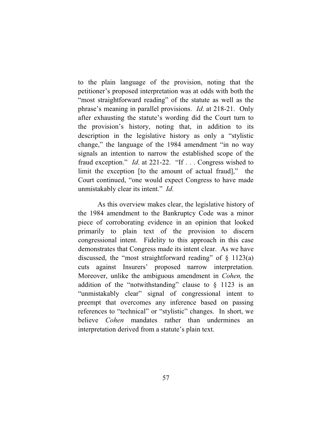to the plain language of the provision, noting that the petitioner's proposed interpretation was at odds with both the "most straightforward reading" of the statute as well as the phrase's meaning in parallel provisions. *Id*. at 218-21. Only after exhausting the statute's wording did the Court turn to the provision's history, noting that, in addition to its description in the legislative history as only a "stylistic change," the language of the 1984 amendment "in no way signals an intention to narrow the established scope of the fraud exception." *Id*. at 221-22. "If . . . Congress wished to limit the exception [to the amount of actual fraud]," the Court continued, "one would expect Congress to have made unmistakably clear its intent." *Id*.

As this overview makes clear, the legislative history of the 1984 amendment to the Bankruptcy Code was a minor piece of corroborating evidence in an opinion that looked primarily to plain text of the provision to discern congressional intent. Fidelity to this approach in this case demonstrates that Congress made its intent clear. As we have discussed, the "most straightforward reading" of  $\S$  1123(a) cuts against Insurers' proposed narrow interpretation. Moreover, unlike the ambiguous amendment in *Cohen,* the addition of the "notwithstanding" clause to  $\S$  1123 is an "unmistakably clear" signal of congressional intent to preempt that overcomes any inference based on passing references to "technical" or "stylistic" changes. In short, we believe *Cohen* mandates rather than undermines an interpretation derived from a statute's plain text.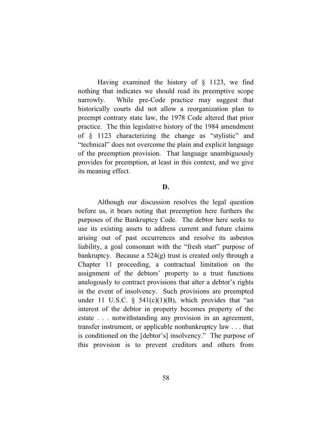Having examined the history of § 1123, we find nothing that indicates we should read its preemptive scope narrowly. While pre-Code practice may suggest that historically courts did not allow a reorganization plan to preempt contrary state law, the 1978 Code altered that prior practice. The thin legislative history of the 1984 amendment of § 1123 characterizing the change as "stylistic" and "technical" does not overcome the plain and explicit language of the preemption provision. That language unambiguously provides for preemption, at least in this context, and we give its meaning effect.

### **D.**

Although our discussion resolves the legal question before us, it bears noting that preemption here furthers the purposes of the Bankruptcy Code. The debtor here seeks to use its existing assets to address current and future claims arising out of past occurrences and resolve its asbestos liability, a goal consonant with the "fresh start" purpose of bankruptcy. Because a 524(g) trust is created only through a Chapter 11 proceeding, a contractual limitation on the assignment of the debtors' property to a trust functions analogously to contract provisions that alter a debtor's rights in the event of insolvency. Such provisions are preempted under 11 U.S.C.  $\S$  541(c)(1)(B), which provides that "an interest of the debtor in property becomes property of the estate . . . notwithstanding any provision in an agreement, transfer instrument, or applicable nonbankruptcy law . . . that is conditioned on the [debtor's] insolvency." The purpose of this provision is to prevent creditors and others from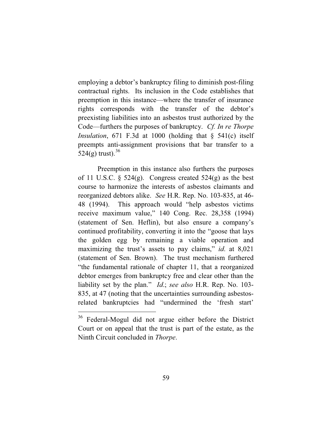employing a debtor's bankruptcy filing to diminish post-filing contractual rights. Its inclusion in the Code establishes that preemption in this instance—where the transfer of insurance rights corresponds with the transfer of the debtor's preexisting liabilities into an asbestos trust authorized by the Code—furthers the purposes of bankruptcy. *Cf. In re Thorpe Insulation*, 671 F.3d at 1000 (holding that § 541(c) itself preempts anti-assignment provisions that bar transfer to a 524(g) trust).  $36$ 

Preemption in this instance also furthers the purposes of 11 U.S.C.  $\S$  524(g). Congress created 524(g) as the best course to harmonize the interests of asbestos claimants and reorganized debtors alike. *See* H.R. Rep. No. 103-835, at 46- 48 (1994). This approach would "help asbestos victims receive maximum value," 140 Cong. Rec. 28,358 (1994) (statement of Sen. Heflin), but also ensure a company's continued profitability, converting it into the "goose that lays the golden egg by remaining a viable operation and maximizing the trust's assets to pay claims," *id*. at 8,021 (statement of Sen. Brown). The trust mechanism furthered "the fundamental rationale of chapter 11, that a reorganized debtor emerges from bankruptcy free and clear other than the liability set by the plan." *Id*.; *see also* H.R. Rep. No. 103- 835, at 47 (noting that the uncertainties surrounding asbestosrelated bankruptcies had "undermined the 'fresh start'

<sup>36</sup> Federal-Mogul did not argue either before the District Court or on appeal that the trust is part of the estate, as the Ninth Circuit concluded in *Thorpe*.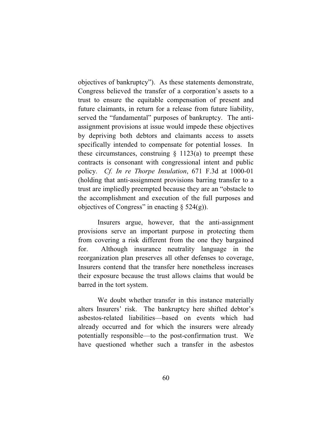objectives of bankruptcy"). As these statements demonstrate, Congress believed the transfer of a corporation's assets to a trust to ensure the equitable compensation of present and future claimants, in return for a release from future liability, served the "fundamental" purposes of bankruptcy. The antiassignment provisions at issue would impede these objectives by depriving both debtors and claimants access to assets specifically intended to compensate for potential losses. In these circumstances, construing  $\S$  1123(a) to preempt these contracts is consonant with congressional intent and public policy. *Cf. In re Thorpe Insulation*, 671 F.3d at 1000-01 (holding that anti-assignment provisions barring transfer to a trust are impliedly preempted because they are an "obstacle to the accomplishment and execution of the full purposes and objectives of Congress" in enacting  $\S$  524(g)).

Insurers argue, however, that the anti-assignment provisions serve an important purpose in protecting them from covering a risk different from the one they bargained for. Although insurance neutrality language in the reorganization plan preserves all other defenses to coverage, Insurers contend that the transfer here nonetheless increases their exposure because the trust allows claims that would be barred in the tort system.

We doubt whether transfer in this instance materially alters Insurers' risk. The bankruptcy here shifted debtor's asbestos-related liabilities—based on events which had already occurred and for which the insurers were already potentially responsible—to the post-confirmation trust. We have questioned whether such a transfer in the asbestos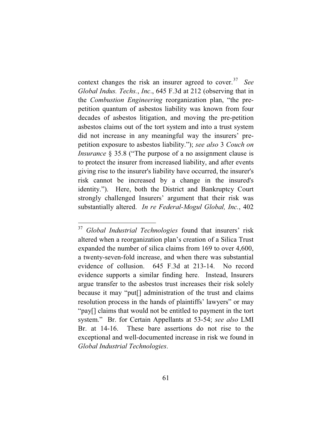context changes the risk an insurer agreed to cover.<sup>37</sup> See *Global Indus. Techs.*, *Inc*., 645 F.3d at 212 (observing that in the *Combustion Engineering* reorganization plan, "the prepetition quantum of asbestos liability was known from four decades of asbestos litigation, and moving the pre-petition asbestos claims out of the tort system and into a trust system did not increase in any meaningful way the insurers' prepetition exposure to asbestos liability."); *see also* 3 *Couch on Insurance* § 35.8 ("The purpose of a no assignment clause is to protect the insurer from increased liability, and after events giving rise to the insurer's liability have occurred, the insurer's risk cannot be increased by a change in the insured's identity."). Here, both the District and Bankruptcy Court strongly challenged Insurers' argument that their risk was substantially altered. *In re Federal-Mogul Global, Inc.*, 402

<sup>37</sup> *Global Industrial Technologies* found that insurers' risk altered when a reorganization plan's creation of a Silica Trust expanded the number of silica claims from 169 to over 4,600, a twenty-seven-fold increase, and when there was substantial evidence of collusion. 645 F.3d at 213-14. No record evidence supports a similar finding here. Instead, Insurers argue transfer to the asbestos trust increases their risk solely because it may "put[] administration of the trust and claims resolution process in the hands of plaintiffs' lawyers" or may "pay[] claims that would not be entitled to payment in the tort system." Br. for Certain Appellants at 53-54; *see also* LMI Br. at 14-16. These bare assertions do not rise to the exceptional and well-documented increase in risk we found in *Global Industrial Technologies*.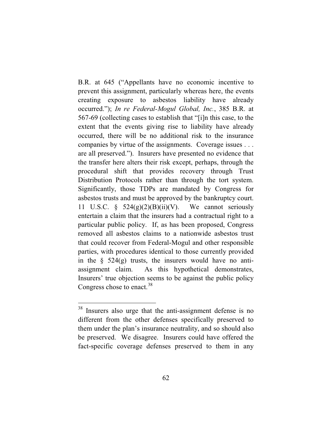B.R. at 645 ("Appellants have no economic incentive to prevent this assignment, particularly whereas here, the events creating exposure to asbestos liability have already occurred."); *In re Federal-Mogul Global, Inc.*, 385 B.R. at 567-69 (collecting cases to establish that "[i]n this case, to the extent that the events giving rise to liability have already occurred, there will be no additional risk to the insurance companies by virtue of the assignments. Coverage issues . . . are all preserved."). Insurers have presented no evidence that the transfer here alters their risk except, perhaps, through the procedural shift that provides recovery through Trust Distribution Protocols rather than through the tort system. Significantly, those TDPs are mandated by Congress for asbestos trusts and must be approved by the bankruptcy court. 11 U.S.C. §  $524(g)(2)(B)(ii)(V)$ . We cannot seriously entertain a claim that the insurers had a contractual right to a particular public policy. If, as has been proposed, Congress removed all asbestos claims to a nationwide asbestos trust that could recover from Federal-Mogul and other responsible parties, with procedures identical to those currently provided in the  $\S$  524(g) trusts, the insurers would have no antiassignment claim. As this hypothetical demonstrates, Insurers' true objection seems to be against the public policy Congress chose to enact.<sup>38</sup>

<sup>&</sup>lt;sup>38</sup> Insurers also urge that the anti-assignment defense is no different from the other defenses specifically preserved to them under the plan's insurance neutrality, and so should also be preserved. We disagree. Insurers could have offered the fact-specific coverage defenses preserved to them in any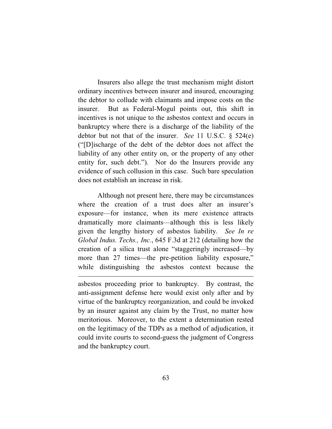Insurers also allege the trust mechanism might distort ordinary incentives between insurer and insured, encouraging the debtor to collude with claimants and impose costs on the insurer. But as Federal-Mogul points out, this shift in incentives is not unique to the asbestos context and occurs in bankruptcy where there is a discharge of the liability of the debtor but not that of the insurer. *See* 11 U.S.C. § 524(e) ("[D]ischarge of the debt of the debtor does not affect the liability of any other entity on, or the property of any other entity for, such debt."). Nor do the Insurers provide any evidence of such collusion in this case. Such bare speculation does not establish an increase in risk.

Although not present here, there may be circumstances where the creation of a trust does alter an insurer's exposure—for instance, when its mere existence attracts dramatically more claimants—although this is less likely given the lengthy history of asbestos liability. *See In re Global Indus. Techs., Inc.*, 645 F.3d at 212 (detailing how the creation of a silica trust alone "staggeringly increased—by more than 27 times—the pre-petition liability exposure," while distinguishing the asbestos context because the

asbestos proceeding prior to bankruptcy. By contrast, the anti-assignment defense here would exist only after and by virtue of the bankruptcy reorganization, and could be invoked by an insurer against any claim by the Trust, no matter how meritorious. Moreover, to the extent a determination rested on the legitimacy of the TDPs as a method of adjudication, it could invite courts to second-guess the judgment of Congress and the bankruptcy court.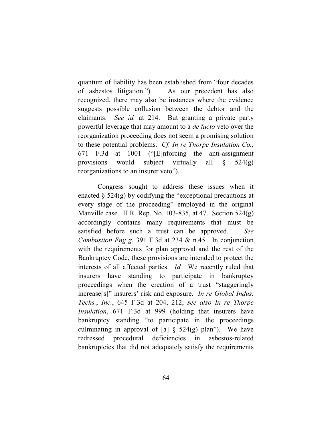quantum of liability has been established from "four decades of asbestos litigation."). As our precedent has also recognized, there may also be instances where the evidence suggests possible collusion between the debtor and the claimants. *See id.* at 214. But granting a private party powerful leverage that may amount to a *de facto* veto over the reorganization proceeding does not seem a promising solution to these potential problems. *Cf. In re Thorpe Insulation Co.*, 671 F.3d at 1001 ("[E]nforcing the anti-assignment provisions would subject virtually all  $\S$  524(g) reorganizations to an insurer veto").

Congress sought to address these issues when it enacted  $\S$  524(g) by codifying the "exceptional precautions at every stage of the proceeding" employed in the original Manville case. H.R. Rep. No. 103-835, at 47. Section 524(g) accordingly contains many requirements that must be satisfied before such a trust can be approved. *See Combustion Eng'g*, 391 F.3d at 234 & n.45. In conjunction with the requirements for plan approval and the rest of the Bankruptcy Code, these provisions are intended to protect the interests of all affected parties. *Id.* We recently ruled that insurers have standing to participate in bankruptcy proceedings when the creation of a trust "staggeringly increase[s]" insurers' risk and exposure. *In re Global Indus. Techs.*, *Inc.*, 645 F.3d at 204, 212; *see also In re Thorpe Insulation*, 671 F.3d at 999 (holding that insurers have bankruptcy standing "to participate in the proceedings culminating in approval of [a]  $\S$  524(g) plan"). We have redressed procedural deficiencies in asbestos-related bankruptcies that did not adequately satisfy the requirements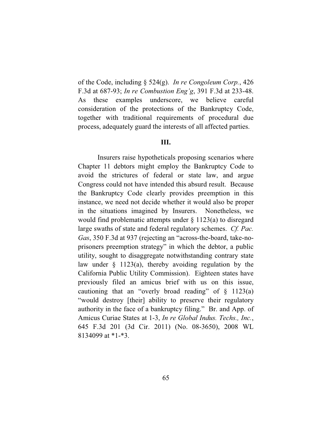of the Code, including § 524(g). *In re Congoleum Corp.*, 426 F.3d at 687-93; *In re Combustion Eng'g*, 391 F.3d at 233-48. As these examples underscore, we believe careful consideration of the protections of the Bankruptcy Code, together with traditional requirements of procedural due process, adequately guard the interests of all affected parties.

## **III.**

Insurers raise hypotheticals proposing scenarios where Chapter 11 debtors might employ the Bankruptcy Code to avoid the strictures of federal or state law, and argue Congress could not have intended this absurd result. Because the Bankruptcy Code clearly provides preemption in this instance, we need not decide whether it would also be proper in the situations imagined by Insurers. Nonetheless, we would find problematic attempts under § 1123(a) to disregard large swaths of state and federal regulatory schemes. *Cf. Pac. Gas*, 350 F.3d at 937 (rejecting an "across-the-board, take-noprisoners preemption strategy" in which the debtor, a public utility, sought to disaggregate notwithstanding contrary state law under § 1123(a), thereby avoiding regulation by the California Public Utility Commission). Eighteen states have previously filed an amicus brief with us on this issue, cautioning that an "overly broad reading" of  $\S$  1123(a) "would destroy [their] ability to preserve their regulatory authority in the face of a bankruptcy filing." Br. and App. of Amicus Curiae States at 1-3, *In re Global Indus. Techs., Inc.*, 645 F.3d 201 (3d Cir. 2011) (No. 08-3650), 2008 WL 8134099 at \*1-\*3.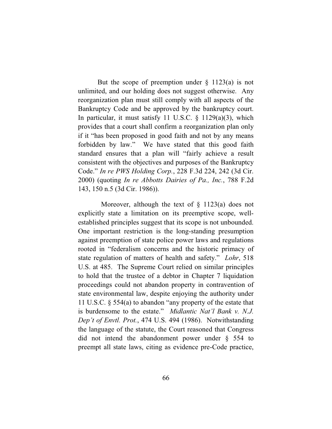But the scope of preemption under  $\S$  1123(a) is not unlimited, and our holding does not suggest otherwise. Any reorganization plan must still comply with all aspects of the Bankruptcy Code and be approved by the bankruptcy court. In particular, it must satisfy 11 U.S.C.  $\S$  1129(a)(3), which provides that a court shall confirm a reorganization plan only if it "has been proposed in good faith and not by any means forbidden by law." We have stated that this good faith standard ensures that a plan will "fairly achieve a result consistent with the objectives and purposes of the Bankruptcy Code." *In re PWS Holding Corp.*, 228 F.3d 224, 242 (3d Cir. 2000) (quoting *In re Abbotts Dairies of Pa., Inc.*, 788 F.2d 143, 150 n.5 (3d Cir. 1986)).

Moreover, although the text of  $\S$  1123(a) does not explicitly state a limitation on its preemptive scope, wellestablished principles suggest that its scope is not unbounded. One important restriction is the long-standing presumption against preemption of state police power laws and regulations rooted in "federalism concerns and the historic primacy of state regulation of matters of health and safety." *Lohr*, 518 U.S. at 485. The Supreme Court relied on similar principles to hold that the trustee of a debtor in Chapter 7 liquidation proceedings could not abandon property in contravention of state environmental law, despite enjoying the authority under 11 U.S.C. § 554(a) to abandon "any property of the estate that is burdensome to the estate." *Midlantic Nat'l Bank v. N.J. Dep't of Envtl. Prot.*, 474 U.S. 494 (1986). Notwithstanding the language of the statute, the Court reasoned that Congress did not intend the abandonment power under § 554 to preempt all state laws, citing as evidence pre-Code practice,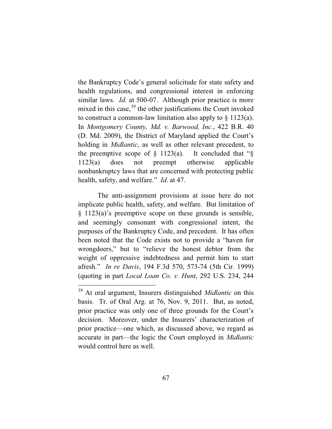the Bankruptcy Code's general solicitude for state safety and health regulations, and congressional interest in enforcing similar laws. *Id.* at 500-07. Although prior practice is more mixed in this case,  $39$  the other justifications the Court invoked to construct a common-law limitation also apply to  $\S 1123(a)$ . In *Montgomery County, Md. v. Barwood, Inc.*, 422 B.R. 40 (D. Md. 2009), the District of Maryland applied the Court's holding in *Midlantic*, as well as other relevant precedent, to the preemptive scope of  $\S$  1123(a). It concluded that " $\S$ 1123(a) does not preempt otherwise applicable nonbankruptcy laws that are concerned with protecting public health, safety, and welfare." *Id*. at 47.

The anti-assignment provisions at issue here do not implicate public health, safety, and welfare. But limitation of § 1123(a)'s preemptive scope on these grounds is sensible, and seemingly consonant with congressional intent, the purposes of the Bankruptcy Code, and precedent. It has often been noted that the Code exists not to provide a "haven for wrongdoers," but to "relieve the honest debtor from the weight of oppressive indebtedness and permit him to start afresh." *In re Davis*, 194 F.3d 570, 573-74 (5th Cir. 1999) (quoting in part *Local Loan Co. v. Hunt*, 292 U.S. 234, 244

<sup>39</sup> At oral argument, Insurers distinguished *Midlantic* on this basis. Tr. of Oral Arg. at 76, Nov. 9, 2011. But, as noted, prior practice was only one of three grounds for the Court's decision. Moreover, under the Insurers' characterization of prior practice—one which, as discussed above, we regard as accurate in part—the logic the Court employed in *Midlantic*  would control here as well.